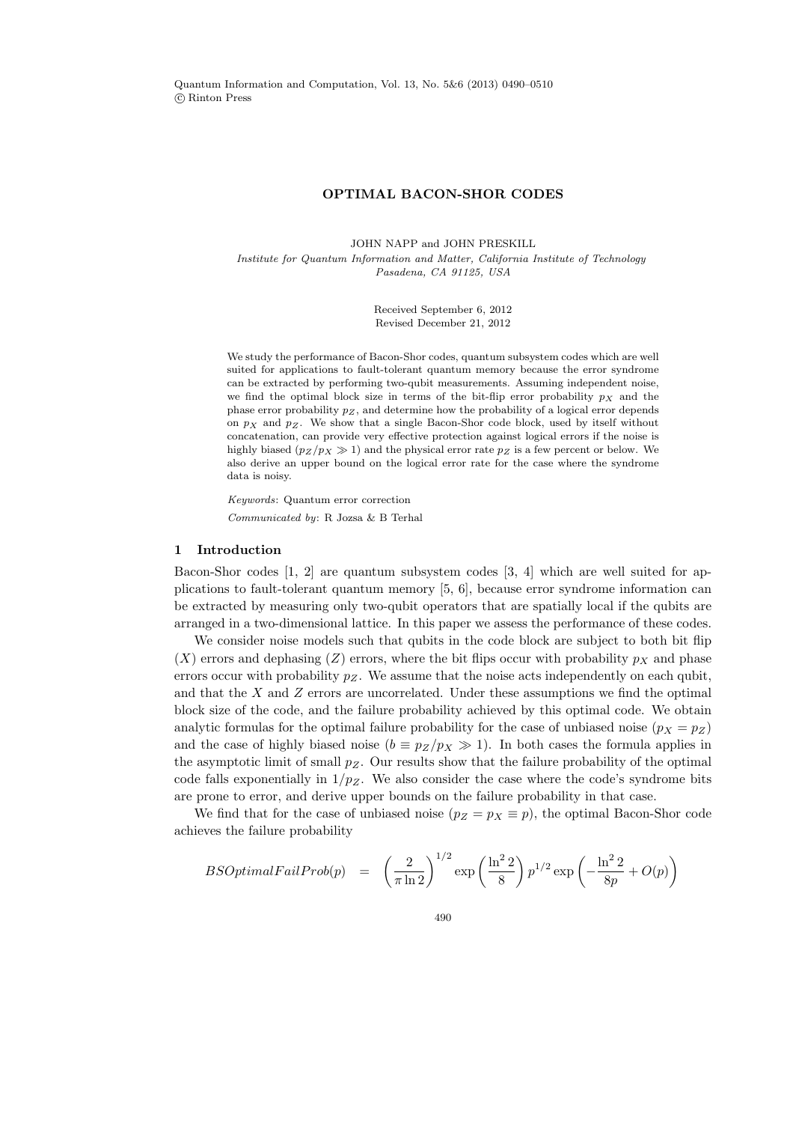Quantum Information and Computation, Vol. 13, No. 5&6 (2013) 0490–0510 c Rinton Press

#### OPTIMAL BACON-SHOR CODES

JOHN NAPP and JOHN PRESKILL Institute for Quantum Information and Matter, California Institute of Technology Pasadena, CA 91125, USA

> Received September 6, 2012 Revised December 21, 2012

We study the performance of Bacon-Shor codes, quantum subsystem codes which are well suited for applications to fault-tolerant quantum memory because the error syndrome can be extracted by performing two-qubit measurements. Assuming independent noise, we find the optimal block size in terms of the bit-flip error probability  $p<sub>X</sub>$  and the phase error probability  $p_Z$ , and determine how the probability of a logical error depends on  $p<sub>X</sub>$  and  $p<sub>Z</sub>$ . We show that a single Bacon-Shor code block, used by itself without concatenation, can provide very effective protection against logical errors if the noise is highly biased  $(p_Z / p_X \gg 1)$  and the physical error rate  $p_Z$  is a few percent or below. We also derive an upper bound on the logical error rate for the case where the syndrome data is noisy.

Keywords: Quantum error correction Communicated by: R Jozsa & B Terhal

## 1 Introduction

Bacon-Shor codes [1, 2] are quantum subsystem codes [3, 4] which are well suited for applications to fault-tolerant quantum memory [5, 6], because error syndrome information can be extracted by measuring only two-qubit operators that are spatially local if the qubits are arranged in a two-dimensional lattice. In this paper we assess the performance of these codes.

We consider noise models such that qubits in the code block are subject to both bit flip  $(X)$  errors and dephasing  $(Z)$  errors, where the bit flips occur with probability  $p_X$  and phase errors occur with probability  $p_Z$ . We assume that the noise acts independently on each qubit, and that the  $X$  and  $Z$  errors are uncorrelated. Under these assumptions we find the optimal block size of the code, and the failure probability achieved by this optimal code. We obtain analytic formulas for the optimal failure probability for the case of unbiased noise  $(p_X = p_Z)$ and the case of highly biased noise  $(b = p_Z/p_X \gg 1)$ . In both cases the formula applies in the asymptotic limit of small  $p_Z$ . Our results show that the failure probability of the optimal code falls exponentially in  $1/p_Z$ . We also consider the case where the code's syndrome bits are prone to error, and derive upper bounds on the failure probability in that case.

We find that for the case of unbiased noise  $(p_Z = p_X \equiv p)$ , the optimal Bacon-Shor code achieves the failure probability

$$
BSOptimal FairProb(p) = \left(\frac{2}{\pi \ln 2}\right)^{1/2} \exp\left(\frac{\ln^2 2}{8}\right) p^{1/2} \exp\left(-\frac{\ln^2 2}{8p} + O(p)\right)
$$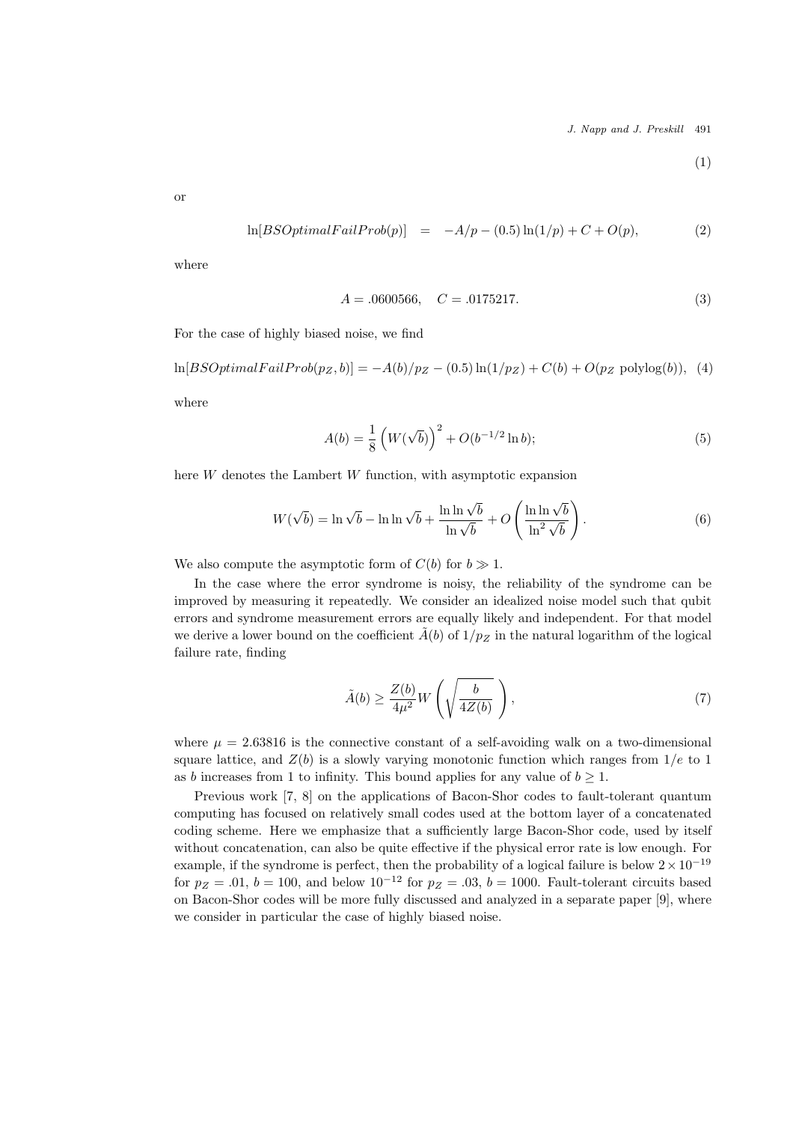J. Napp and J. Preskill 491

$$
^{(1)}
$$

or

$$
\ln[BSOptimalFallProb(p)] = -A/p - (0.5)\ln(1/p) + C + O(p), \tag{2}
$$

where

$$
A = .0600566, \quad C = .0175217. \tag{3}
$$

For the case of highly biased noise, we find

 $\ln[BSOptimal Fairrob(p_Z, b)] = -A(b)/p_Z - (0.5)\ln(1/p_Z) + C(b) + O(p_Z \text{ polylog}(b)),$  (4)

where

$$
A(b) = \frac{1}{8} \left( W(\sqrt{b}) \right)^2 + O(b^{-1/2} \ln b); \tag{5}
$$

here W denotes the Lambert W function, with asymptotic expansion

$$
W(\sqrt{b}) = \ln \sqrt{b} - \ln \ln \sqrt{b} + \frac{\ln \ln \sqrt{b}}{\ln \sqrt{b}} + O\left(\frac{\ln \ln \sqrt{b}}{\ln^2 \sqrt{b}}\right). \tag{6}
$$

We also compute the asymptotic form of  $C(b)$  for  $b \gg 1$ .

In the case where the error syndrome is noisy, the reliability of the syndrome can be improved by measuring it repeatedly. We consider an idealized noise model such that qubit errors and syndrome measurement errors are equally likely and independent. For that model we derive a lower bound on the coefficient  $\tilde{A}(b)$  of  $1/p_Z$  in the natural logarithm of the logical failure rate, finding

$$
\tilde{A}(b) \ge \frac{Z(b)}{4\mu^2} W\left(\sqrt{\frac{b}{4Z(b)}}\right),\tag{7}
$$

where  $\mu = 2.63816$  is the connective constant of a self-avoiding walk on a two-dimensional square lattice, and  $Z(b)$  is a slowly varying monotonic function which ranges from  $1/e$  to 1 as b increases from 1 to infinity. This bound applies for any value of  $b \geq 1$ .

Previous work [7, 8] on the applications of Bacon-Shor codes to fault-tolerant quantum computing has focused on relatively small codes used at the bottom layer of a concatenated coding scheme. Here we emphasize that a sufficiently large Bacon-Shor code, used by itself without concatenation, can also be quite effective if the physical error rate is low enough. For example, if the syndrome is perfect, then the probability of a logical failure is below  $2 \times 10^{-19}$ for  $p_Z = .01$ ,  $b = 100$ , and below  $10^{-12}$  for  $p_Z = .03$ ,  $b = 1000$ . Fault-tolerant circuits based on Bacon-Shor codes will be more fully discussed and analyzed in a separate paper [9], where we consider in particular the case of highly biased noise.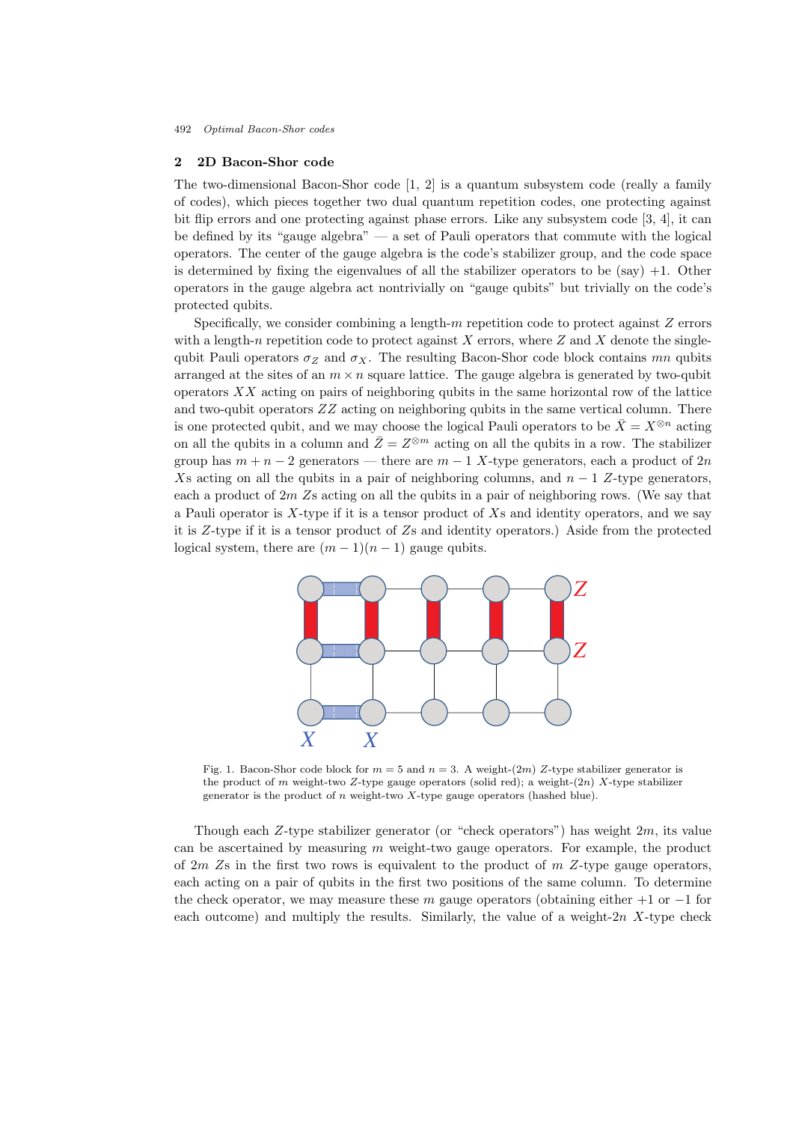## 2 2D Bacon-Shor code

The two-dimensional Bacon-Shor code [1, 2] is a quantum subsystem code (really a family of codes), which pieces together two dual quantum repetition codes, one protecting against bit flip errors and one protecting against phase errors. Like any subsystem code [3, 4], it can be defined by its "gauge algebra" — a set of Pauli operators that commute with the logical operators. The center of the gauge algebra is the code's stabilizer group, and the code space is determined by fixing the eigenvalues of all the stabilizer operators to be  $(say) +1$ . Other operators in the gauge algebra act nontrivially on "gauge qubits" but trivially on the code's protected qubits.

Specifically, we consider combining a length-m repetition code to protect against  $Z$  errors with a length-n repetition code to protect against X errors, where Z and X denote the singlequbit Pauli operators  $\sigma_Z$  and  $\sigma_X$ . The resulting Bacon-Shor code block contains mn qubits arranged at the sites of an  $m \times n$  square lattice. The gauge algebra is generated by two-qubit operators  $XX$  acting on pairs of neighboring qubits in the same horizontal row of the lattice and two-qubit operators ZZ acting on neighboring qubits in the same vertical column. There is one protected qubit, and we may choose the logical Pauli operators to be  $\bar{X} = X^{\otimes n}$  acting on all the qubits in a column and  $\bar{Z} = Z^{\otimes m}$  acting on all the qubits in a row. The stabilizer group has  $m + n - 2$  generators — there are  $m - 1$  X-type generators, each a product of  $2n$ Xs acting on all the qubits in a pair of neighboring columns, and  $n - 1$  Z-type generators, each a product of  $2m$  Zs acting on all the qubits in a pair of neighboring rows. (We say that a Pauli operator is  $X$ -type if it is a tensor product of  $X_s$  and identity operators, and we say it is Z-type if it is a tensor product of Zs and identity operators.) Aside from the protected logical system, there are  $(m-1)(n-1)$  gauge qubits.



Fig. 1. Bacon-Shor code block for  $m = 5$  and  $n = 3$ . A weight- $(2m)$  Z-type stabilizer generator is the product of m weight-two Z-type gauge operators (solid red); a weight- $(2n)$  X-type stabilizer generator is the product of  $n$  weight-two  $X$ -type gauge operators (hashed blue).

Though each Z-type stabilizer generator (or "check operators") has weight  $2m$ , its value can be ascertained by measuring  $m$  weight-two gauge operators. For example, the product of  $2m$  Zs in the first two rows is equivalent to the product of  $m$  Z-type gauge operators, each acting on a pair of qubits in the first two positions of the same column. To determine the check operator, we may measure these m gauge operators (obtaining either  $+1$  or  $-1$  for each outcome) and multiply the results. Similarly, the value of a weight- $2n$  X-type check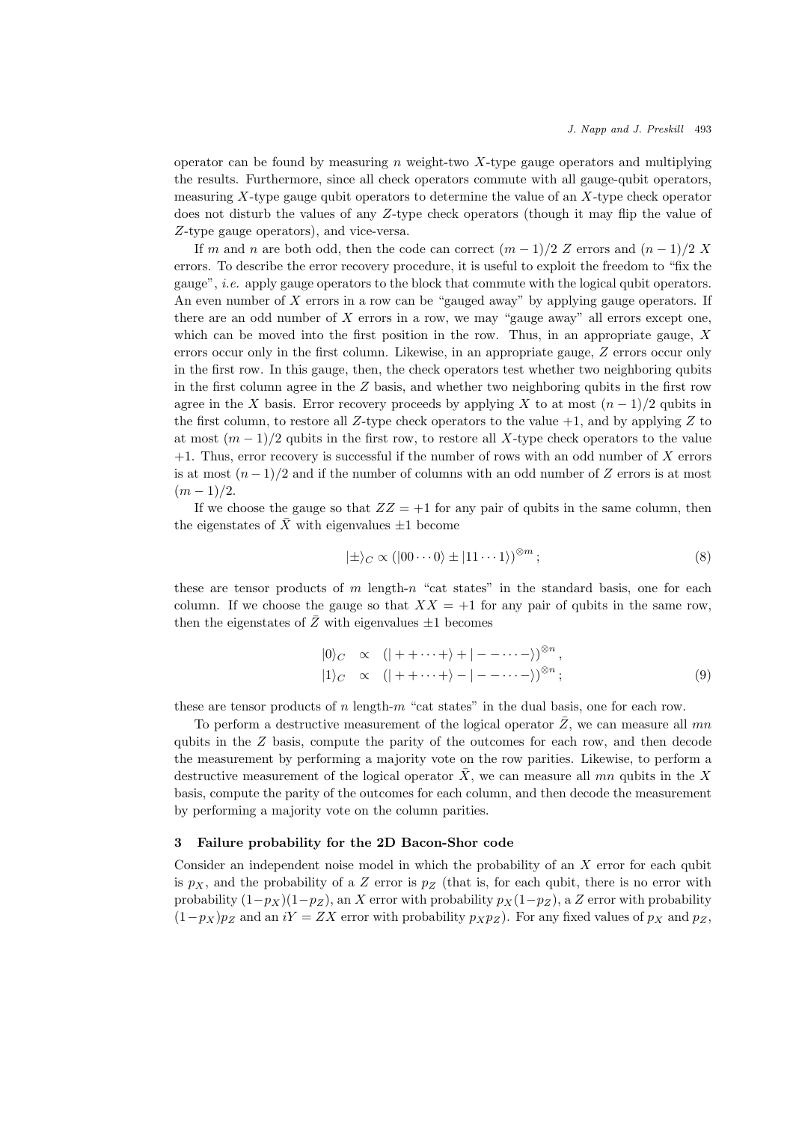operator can be found by measuring n weight-two  $X$ -type gauge operators and multiplying the results. Furthermore, since all check operators commute with all gauge-qubit operators, measuring  $X$ -type gauge qubit operators to determine the value of an  $X$ -type check operator does not disturb the values of any Z-type check operators (though it may flip the value of Z-type gauge operators), and vice-versa.

If m and n are both odd, then the code can correct  $(m-1)/2$  Z errors and  $(n-1)/2$  X errors. To describe the error recovery procedure, it is useful to exploit the freedom to "fix the gauge", i.e. apply gauge operators to the block that commute with the logical qubit operators. An even number of  $X$  errors in a row can be "gauged away" by applying gauge operators. If there are an odd number of  $X$  errors in a row, we may "gauge away" all errors except one. which can be moved into the first position in the row. Thus, in an appropriate gauge,  $X$ errors occur only in the first column. Likewise, in an appropriate gauge, Z errors occur only in the first row. In this gauge, then, the check operators test whether two neighboring qubits in the first column agree in the  $Z$  basis, and whether two neighboring qubits in the first row agree in the X basis. Error recovery proceeds by applying X to at most  $(n-1)/2$  qubits in the first column, to restore all  $Z$ -type check operators to the value  $+1$ , and by applying  $Z$  to at most  $(m-1)/2$  qubits in the first row, to restore all X-type check operators to the value  $+1$ . Thus, error recovery is successful if the number of rows with an odd number of X errors is at most  $(n-1)/2$  and if the number of columns with an odd number of Z errors is at most  $(m-1)/2$ .

If we choose the gauge so that  $ZZ = +1$  for any pair of qubits in the same column, then the eigenstates of  $\bar{X}$  with eigenvalues  $\pm 1$  become

$$
|\pm\rangle_C \propto (|00\cdots 0\rangle \pm |11\cdots 1\rangle)^{\otimes m};\tag{8}
$$

these are tensor products of m length-n "cat states" in the standard basis, one for each column. If we choose the gauge so that  $XX = +1$  for any pair of qubits in the same row, then the eigenstates of  $\bar{Z}$  with eigenvalues  $\pm 1$  becomes

$$
|0\rangle_C \propto (|++\cdots+\rangle + |---\cdots-\rangle)^{\otimes n},
$$
  

$$
|1\rangle_C \propto (|++\cdots+\rangle - |---\cdots-\rangle)^{\otimes n};
$$
  
(9)

these are tensor products of  $n \text{ length-}m$  "cat states" in the dual basis, one for each row.

To perform a destructive measurement of the logical operator  $\overline{Z}$ , we can measure all mn qubits in the  $Z$  basis, compute the parity of the outcomes for each row, and then decode the measurement by performing a majority vote on the row parities. Likewise, to perform a destructive measurement of the logical operator  $\bar{X}$ , we can measure all mn qubits in the X basis, compute the parity of the outcomes for each column, and then decode the measurement by performing a majority vote on the column parities.

## 3 Failure probability for the 2D Bacon-Shor code

Consider an independent noise model in which the probability of an X error for each qubit is  $p_X$ , and the probability of a Z error is  $p_Z$  (that is, for each qubit, there is no error with probability  $(1-p_X)(1-p_Z)$ , an X error with probability  $p_X(1-p_Z)$ , a Z error with probability  $(1-p_X)p_Z$  and an iY = ZX error with probability  $p_Xp_Z$ ). For any fixed values of  $p_X$  and  $p_Z$ ,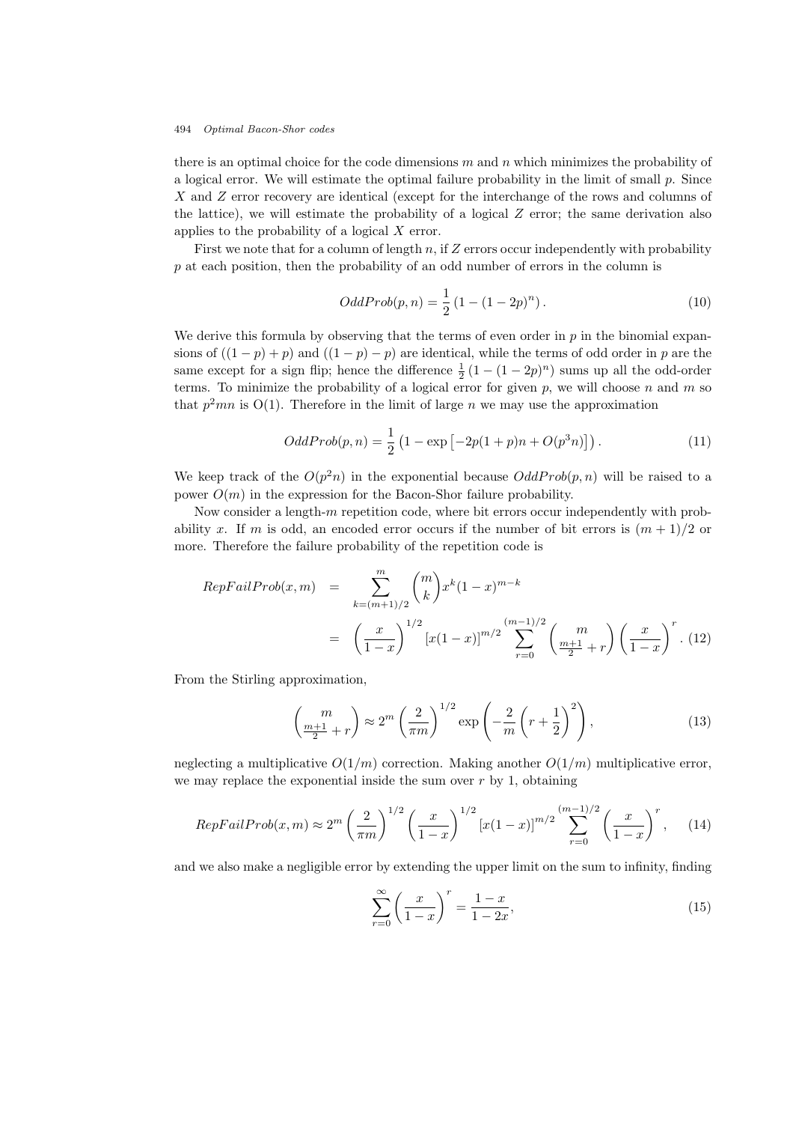there is an optimal choice for the code dimensions  $m$  and  $n$  which minimizes the probability of a logical error. We will estimate the optimal failure probability in the limit of small  $p$ . Since X and Z error recovery are identical (except for the interchange of the rows and columns of the lattice), we will estimate the probability of a logical  $Z$  error; the same derivation also applies to the probability of a logical  $X$  error.

First we note that for a column of length n, if  $Z$  errors occur independently with probability p at each position, then the probability of an odd number of errors in the column is

$$
OddProb(p, n) = \frac{1}{2} (1 - (1 - 2p)^n).
$$
\n(10)

We derive this formula by observing that the terms of even order in  $p$  in the binomial expansions of  $((1-p)+p)$  and  $((1-p)-p)$  are identical, while the terms of odd order in p are the same except for a sign flip; hence the difference  $\frac{1}{2}(1 - (1 - 2p)^n)$  sums up all the odd-order terms. To minimize the probability of a logical error for given  $p$ , we will choose  $n$  and  $m$  so that  $p^2mn$  is  $O(1)$ . Therefore in the limit of large n we may use the approximation

$$
OddProb(p, n) = \frac{1}{2} \left( 1 - \exp \left[ -2p(1+p)n + O(p^3 n) \right] \right). \tag{11}
$$

We keep track of the  $O(p^2n)$  in the exponential because  $OddProb(p,n)$  will be raised to a power  $O(m)$  in the expression for the Bacon-Shor failure probability.

Now consider a length- $m$  repetition code, where bit errors occur independently with probability x. If m is odd, an encoded error occurs if the number of bit errors is  $(m+1)/2$  or more. Therefore the failure probability of the repetition code is

$$
RepFailProb(x, m) = \sum_{k=(m+1)/2}^{m} {m \choose k} x^{k} (1-x)^{m-k}
$$
  
=  $\left(\frac{x}{1-x}\right)^{1/2} [x(1-x)]^{m/2} \sum_{r=0}^{(m-1)/2} {m \choose \frac{m+1}{2} + r} \left(\frac{x}{1-x}\right)^{r}.$  (12)

From the Stirling approximation,

$$
\left(\frac{m}{\frac{m+1}{2}+r}\right) \approx 2^m \left(\frac{2}{\pi m}\right)^{1/2} \exp\left(-\frac{2}{m}\left(r+\frac{1}{2}\right)^2\right),\tag{13}
$$

neglecting a multiplicative  $O(1/m)$  correction. Making another  $O(1/m)$  multiplicative error, we may replace the exponential inside the sum over  $r$  by 1, obtaining

$$
RepFailProb(x, m) \approx 2^m \left(\frac{2}{\pi m}\right)^{1/2} \left(\frac{x}{1-x}\right)^{1/2} \left[x(1-x)\right]^{m/2} \sum_{r=0}^{(m-1)/2} \left(\frac{x}{1-x}\right)^r
$$
, (14)

and we also make a negligible error by extending the upper limit on the sum to infinity, finding

$$
\sum_{r=0}^{\infty} \left(\frac{x}{1-x}\right)^r = \frac{1-x}{1-2x},\tag{15}
$$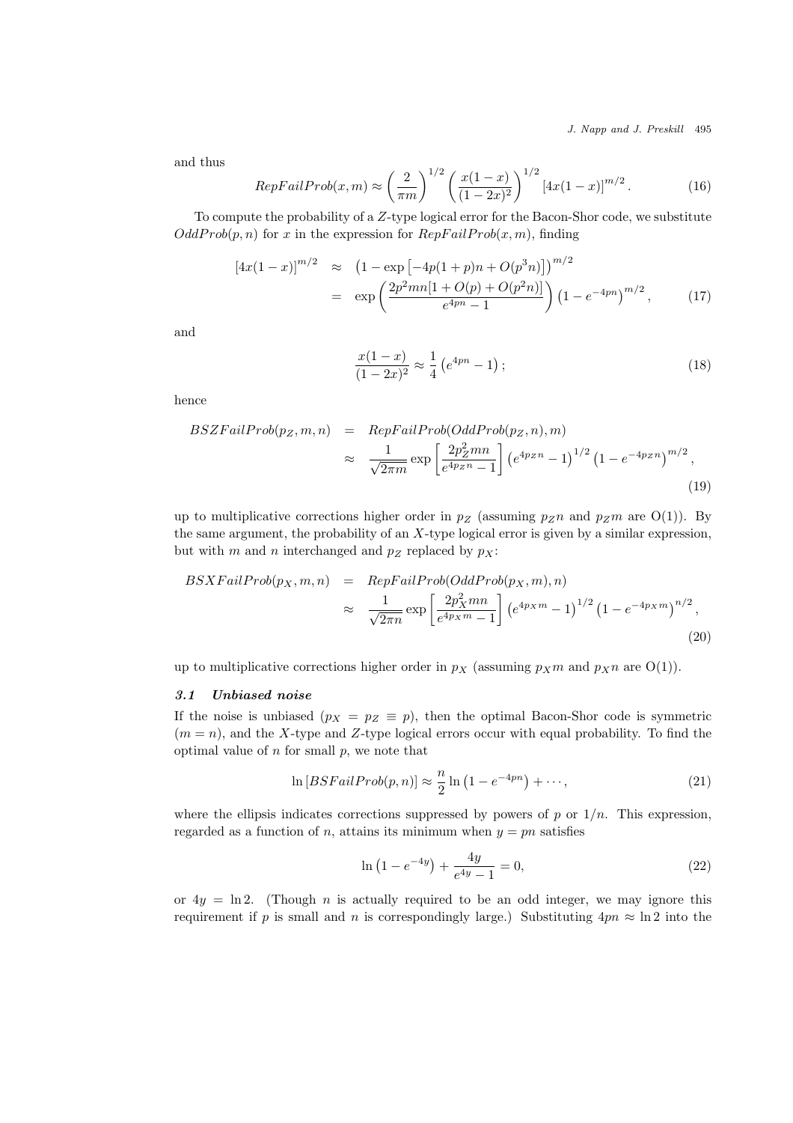J. Napp and J. Preskill 495

and thus

$$
RepFailProb(x, m) \approx \left(\frac{2}{\pi m}\right)^{1/2} \left(\frac{x(1-x)}{(1-2x)^2}\right)^{1/2} \left[4x(1-x)\right]^{m/2}.
$$
 (16)

To compute the probability of a Z-type logical error for the Bacon-Shor code, we substitute  $OddProb(p, n)$  for x in the expression for  $RepFallProb(x, m)$ , finding

$$
[4x(1-x)]^{m/2} \approx (1 - \exp[-4p(1+p)n + O(p^3n)])^{m/2}
$$
  
= 
$$
\exp\left(\frac{2p^2mn[1+O(p)+O(p^2n)]}{e^{4pn}-1}\right)(1 - e^{-4pn})^{m/2}, \qquad (17)
$$

and

$$
\frac{x(1-x)}{(1-2x)^2} \approx \frac{1}{4} \left( e^{4pn} - 1 \right); \tag{18}
$$

hence

$$
BSZFailProb(p_Z, m, n) = RepFailProb(OddProb(p_Z, n), m)
$$
  

$$
\approx \frac{1}{\sqrt{2\pi m}} \exp\left[\frac{2p_Z^2 mn}{e^{4p_Z n} - 1}\right] \left(e^{4p_Z n} - 1\right)^{1/2} \left(1 - e^{-4p_Z n}\right)^{m/2},
$$
\n(19)

up to multiplicative corrections higher order in  $p_Z$  (assuming  $p_Zn$  and  $p_Zm$  are O(1)). By the same argument, the probability of an  $X$ -type logical error is given by a similar expression, but with m and n interchanged and  $p_Z$  replaced by  $p_X$ :

$$
BSXFailProb(p_X, m, n) = RepFailProb(OddProb(p_X, m), n)
$$
  

$$
\approx \frac{1}{\sqrt{2\pi n}} exp\left[\frac{2p_X^2 mn}{e^{4p_X m} - 1}\right] \left(e^{4p_X m} - 1\right)^{1/2} \left(1 - e^{-4p_X m}\right)^{n/2},
$$
\n(20)

up to multiplicative corrections higher order in  $p_X$  (assuming  $p_Xm$  and  $p_Xn$  are O(1)).

#### 3.1 Unbiased noise

If the noise is unbiased  $(p_X = p_Z \equiv p)$ , then the optimal Bacon-Shor code is symmetric  $(m = n)$ , and the X-type and Z-type logical errors occur with equal probability. To find the optimal value of  $n$  for small  $p$ , we note that

$$
\ln[BSEailProb(p,n)] \approx \frac{n}{2}\ln\left(1 - e^{-4pn}\right) + \cdots,
$$
\n(21)

where the ellipsis indicates corrections suppressed by powers of p or  $1/n$ . This expression, regarded as a function of n, attains its minimum when  $y = pn$  satisfies

$$
\ln\left(1 - e^{-4y}\right) + \frac{4y}{e^{4y} - 1} = 0,\tag{22}
$$

or  $4y = \ln 2$ . (Though n is actually required to be an odd integer, we may ignore this requirement if p is small and n is correspondingly large.) Substituting  $4pn \approx \ln 2$  into the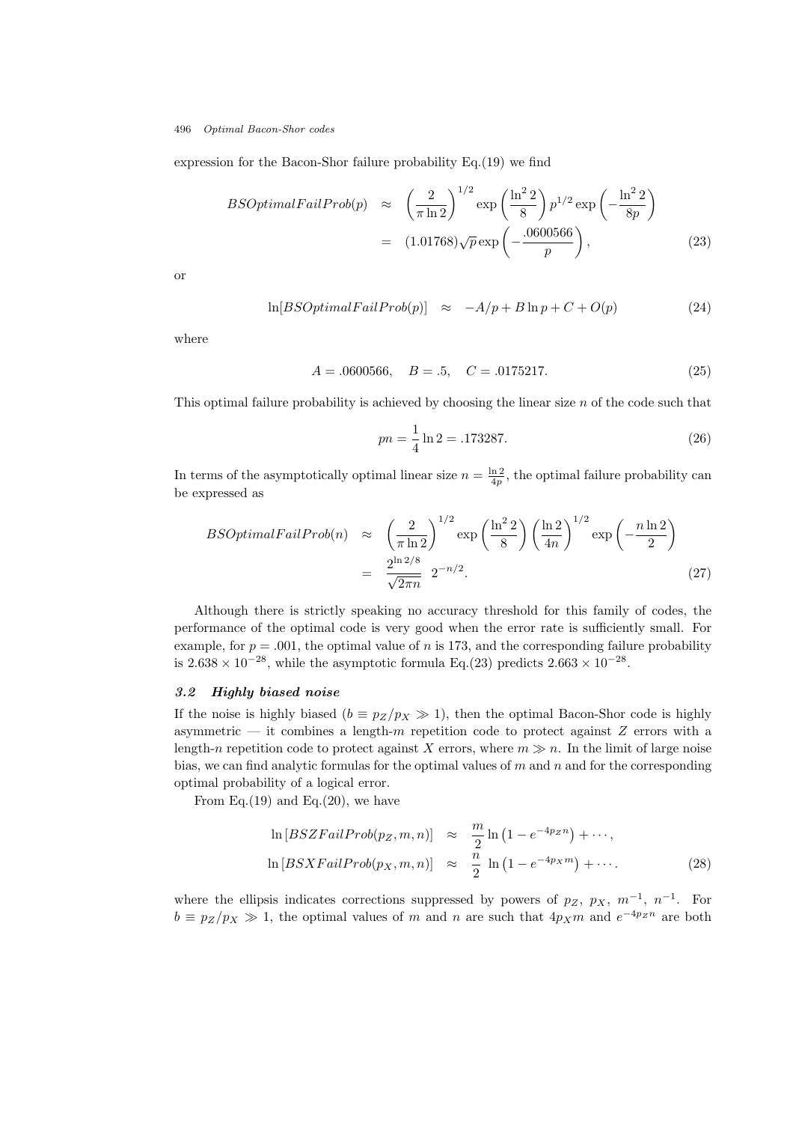expression for the Bacon-Shor failure probability Eq.(19) we find

$$
BSOptimalFallProb(p) \approx \left(\frac{2}{\pi \ln 2}\right)^{1/2} \exp\left(\frac{\ln^2 2}{8}\right) p^{1/2} \exp\left(-\frac{\ln^2 2}{8p}\right)
$$

$$
= (1.01768)\sqrt{p} \exp\left(-\frac{.0600566}{p}\right), \tag{23}
$$

or

$$
\ln[BSOptimalFallProb(p)] \approx -A/p + B \ln p + C + O(p) \tag{24}
$$

where

$$
A = .0600566, \quad B = .5, \quad C = .0175217. \tag{25}
$$

This optimal failure probability is achieved by choosing the linear size  $n$  of the code such that

$$
pn = \frac{1}{4}\ln 2 = .173287.\tag{26}
$$

In terms of the asymptotically optimal linear size  $n = \frac{\ln 2}{4p}$ , the optimal failure probability can be expressed as

$$
BSOptimalFallProb(n) \approx \left(\frac{2}{\pi \ln 2}\right)^{1/2} \exp\left(\frac{\ln^2 2}{8}\right) \left(\frac{\ln 2}{4n}\right)^{1/2} \exp\left(-\frac{n \ln 2}{2}\right)
$$

$$
= \frac{2^{\ln 2/8}}{\sqrt{2\pi n}} 2^{-n/2}.
$$
(27)

Although there is strictly speaking no accuracy threshold for this family of codes, the performance of the optimal code is very good when the error rate is sufficiently small. For example, for  $p = .001$ , the optimal value of n is 173, and the corresponding failure probability is  $2.638 \times 10^{-28}$ , while the asymptotic formula Eq.(23) predicts  $2.663 \times 10^{-28}$ .

## 3.2 Highly biased noise

If the noise is highly biased ( $b \equiv p_Z/p_X \gg 1$ ), then the optimal Bacon-Shor code is highly asymmetric — it combines a length- $m$  repetition code to protect against  $Z$  errors with a length-n repetition code to protect against X errors, where  $m \gg n$ . In the limit of large noise bias, we can find analytic formulas for the optimal values of  $m$  and  $n$  and for the corresponding optimal probability of a logical error.

From Eq.(19) and Eq.(20), we have

$$
\ln [BSZFailProb(p_Z, m, n)] \approx \frac{m}{2} \ln (1 - e^{-4p_Z n}) + \cdots,
$$
  

$$
\ln [BSXFailProb(p_X, m, n)] \approx \frac{n}{2} \ln (1 - e^{-4p_X m}) + \cdots.
$$
 (28)

where the ellipsis indicates corrections suppressed by powers of  $p_Z$ ,  $p_X$ ,  $m^{-1}$ ,  $n^{-1}$ . For  $b \equiv p_Z/p_X \gg 1$ , the optimal values of m and n are such that  $4p_X m$  and  $e^{-4p_Z n}$  are both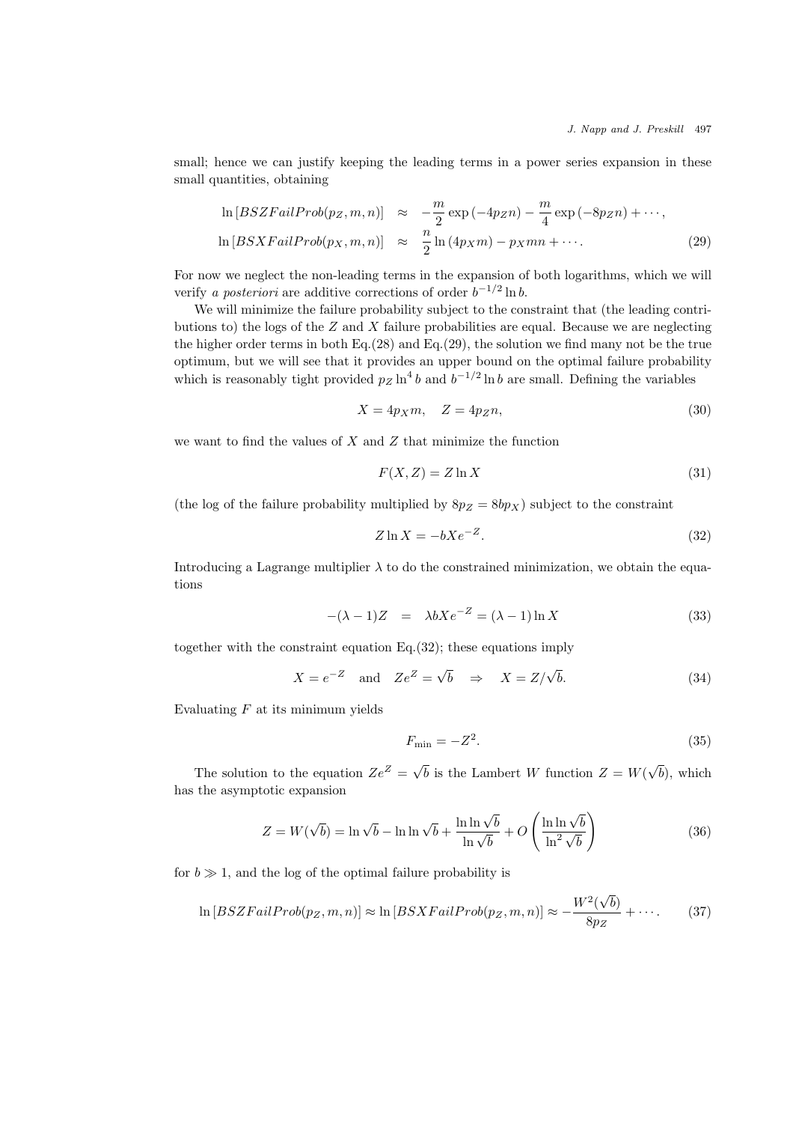small; hence we can justify keeping the leading terms in a power series expansion in these small quantities, obtaining

$$
\ln [BSZFailProb(p_Z, m, n)] \approx -\frac{m}{2} \exp(-4p_Z n) - \frac{m}{4} \exp(-8p_Z n) + \cdots,
$$
  

$$
\ln [BSXFailProb(p_X, m, n)] \approx \frac{n}{2} \ln(4p_X m) - p_X mn + \cdots.
$$
 (29)

For now we neglect the non-leading terms in the expansion of both logarithms, which we will verify a posteriori are additive corrections of order  $b^{-1/2} \ln b$ .

We will minimize the failure probability subject to the constraint that (the leading contributions to) the logs of the  $Z$  and  $X$  failure probabilities are equal. Because we are neglecting the higher order terms in both Eq.(28) and Eq.(29), the solution we find many not be the true optimum, but we will see that it provides an upper bound on the optimal failure probability which is reasonably tight provided  $p_Z \ln^4 b$  and  $b^{-1/2} \ln b$  are small. Defining the variables

$$
X = 4p_X m, \quad Z = 4p_Z n,\tag{30}
$$

we want to find the values of  $X$  and  $Z$  that minimize the function

$$
F(X, Z) = Z \ln X \tag{31}
$$

(the log of the failure probability multiplied by  $8p_Z = 8bp_X$ ) subject to the constraint

$$
Z \ln X = -bXe^{-Z}.
$$
\n<sup>(32)</sup>

Introducing a Lagrange multiplier  $\lambda$  to do the constrained minimization, we obtain the equations

$$
-(\lambda - 1)Z = \lambda bXe^{-Z} = (\lambda - 1)\ln X \tag{33}
$$

together with the constraint equation Eq.(32); these equations imply

$$
X = e^{-Z} \quad \text{and} \quad Ze^{Z} = \sqrt{b} \quad \Rightarrow \quad X = Z/\sqrt{b}.
$$
 (34)

Evaluating  $F$  at its minimum yields

$$
F_{\min} = -Z^2. \tag{35}
$$

The solution to the equation  $Ze^Z = \sqrt{b}$  is the Lambert W function  $Z = W(\sqrt{b})$ , which has the asymptotic expansion

$$
Z = W(\sqrt{b}) = \ln \sqrt{b} - \ln \ln \sqrt{b} + \frac{\ln \ln \sqrt{b}}{\ln \sqrt{b}} + O\left(\frac{\ln \ln \sqrt{b}}{\ln^2 \sqrt{b}}\right)
$$
(36)

for  $b \gg 1$ , and the log of the optimal failure probability is

$$
\ln [BSZFailProb(p_Z, m, n)] \approx \ln [BSXFailProb(p_Z, m, n)] \approx -\frac{W^2(\sqrt{b})}{8pz} + \cdots. \tag{37}
$$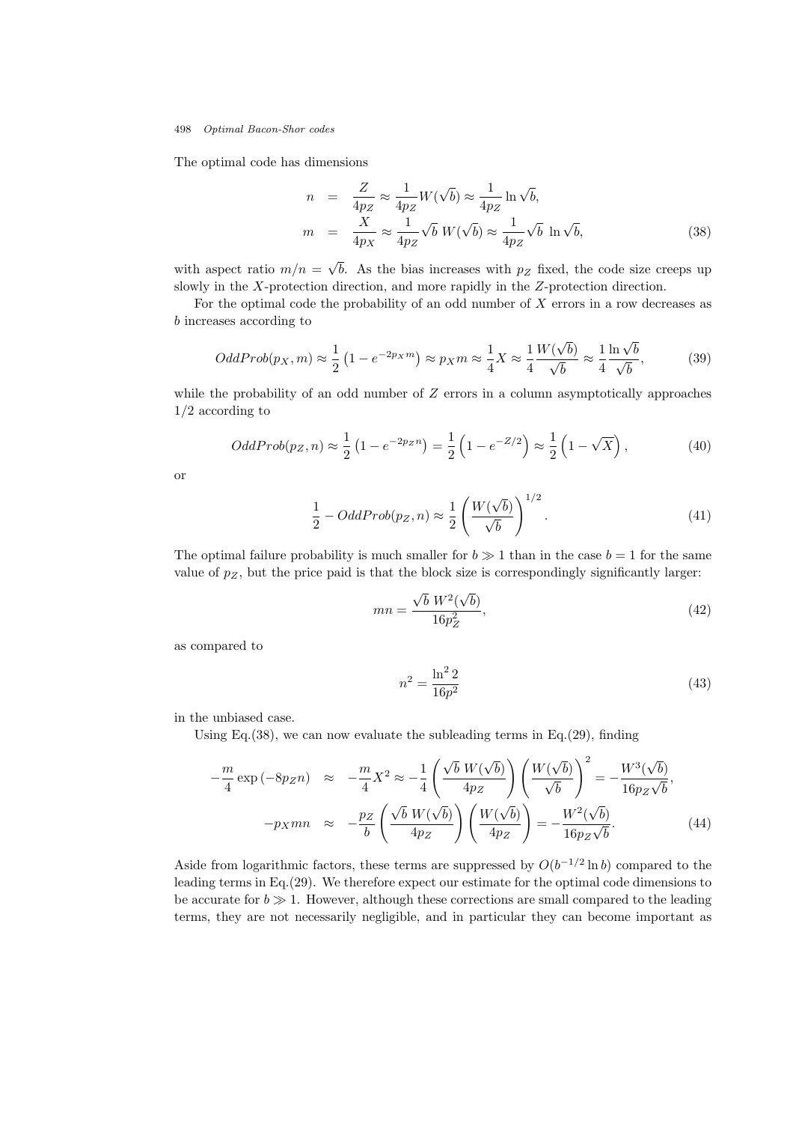The optimal code has dimensions

$$
n = \frac{Z}{4p_Z} \approx \frac{1}{4p_Z} W(\sqrt{b}) \approx \frac{1}{4p_Z} \ln \sqrt{b},
$$
  
\n
$$
m = \frac{X}{4p_X} \approx \frac{1}{4p_Z} \sqrt{b} W(\sqrt{b}) \approx \frac{1}{4p_Z} \sqrt{b} \ln \sqrt{b},
$$
\n(38)

with aspect ratio  $m/n = \sqrt{b}$ . As the bias increases with  $p_Z$  fixed, the code size creeps up slowly in the X-protection direction, and more rapidly in the Z-protection direction.

For the optimal code the probability of an odd number of  $X$  errors in a row decreases as b increases according to

$$
OddProb(p_X, m) \approx \frac{1}{2} \left( 1 - e^{-2p_X m} \right) \approx p_X m \approx \frac{1}{4} X \approx \frac{1}{4} \frac{W(\sqrt{b})}{\sqrt{b}} \approx \frac{1}{4} \frac{\ln \sqrt{b}}{\sqrt{b}},\tag{39}
$$

while the probability of an odd number of  $Z$  errors in a column asymptotically approaches 1/2 according to

$$
OddProb(p_Z, n) \approx \frac{1}{2} \left( 1 - e^{-2pzn} \right) = \frac{1}{2} \left( 1 - e^{-Z/2} \right) \approx \frac{1}{2} \left( 1 - \sqrt{X} \right),\tag{40}
$$

or

$$
\frac{1}{2} - OddProb(p_Z, n) \approx \frac{1}{2} \left( \frac{W(\sqrt{b})}{\sqrt{b}} \right)^{1/2}.
$$
\n(41)

The optimal failure probability is much smaller for  $b \gg 1$  than in the case  $b = 1$  for the same value of  $p_Z$ , but the price paid is that the block size is correspondingly significantly larger:

$$
mn = \frac{\sqrt{b} W^2(\sqrt{b})}{16p_Z^2},
$$
\n(42)

as compared to

$$
n^2 = \frac{\ln^2 2}{16p^2}
$$
 (43)

in the unbiased case.

Using Eq.(38), we can now evaluate the subleading terms in Eq.(29), finding

$$
-\frac{m}{4}\exp\left(-8pzn\right) \approx -\frac{m}{4}X^2 \approx -\frac{1}{4}\left(\frac{\sqrt{b}W(\sqrt{b})}{4pz}\right)\left(\frac{W(\sqrt{b})}{\sqrt{b}}\right)^2 = -\frac{W^3(\sqrt{b})}{16pz\sqrt{b}},
$$

$$
-p_Xmn \approx -\frac{pz}{b}\left(\frac{\sqrt{b}W(\sqrt{b})}{4pz}\right)\left(\frac{W(\sqrt{b})}{4pz}\right) = -\frac{W^2(\sqrt{b})}{16pz\sqrt{b}}.
$$
(44)

Aside from logarithmic factors, these terms are suppressed by  $O(b^{-1/2} \ln b)$  compared to the leading terms in Eq.(29). We therefore expect our estimate for the optimal code dimensions to be accurate for  $b \gg 1$ . However, although these corrections are small compared to the leading terms, they are not necessarily negligible, and in particular they can become important as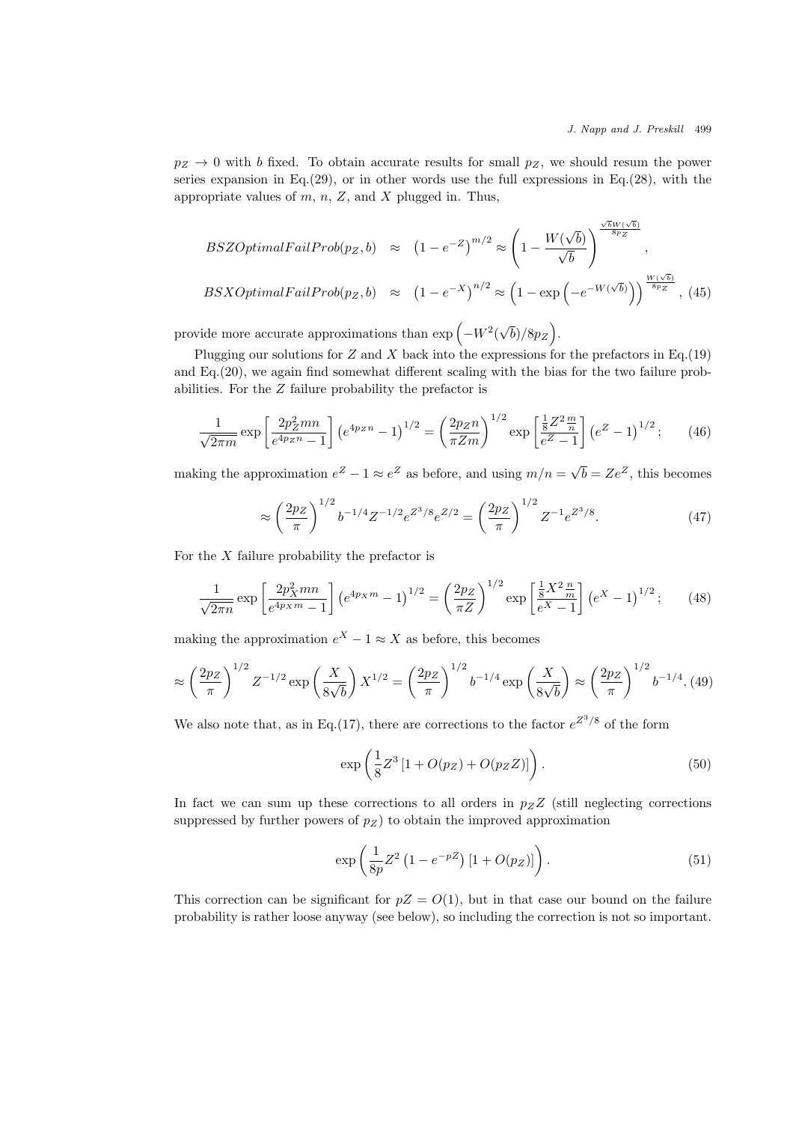$p_Z \rightarrow 0$  with b fixed. To obtain accurate results for small  $p_Z$ , we should resum the power series expansion in Eq.  $(29)$ , or in other words use the full expressions in Eq.  $(28)$ , with the appropriate values of  $m$ ,  $n$ ,  $Z$ , and  $X$  plugged in. Thus,

$$
BSZOptimal FairProb(p_Z, b) \approx (1 - e^{-Z})^{m/2} \approx \left(1 - \frac{W(\sqrt{b})}{\sqrt{b}}\right)^{\frac{\sqrt{b}W(\sqrt{b})}{8p_Z}},
$$
  

$$
BSXOptimalFallProb(p_Z, b) \approx (1 - e^{-X})^{n/2} \approx \left(1 - \exp\left(-e^{-W(\sqrt{b})}\right)\right)^{\frac{W(\sqrt{b})}{8p_Z}},
$$
(45)

provide more accurate approximations than  $\exp(-W^2(\sqrt{b})/8p_Z)$ .

Plugging our solutions for  $Z$  and  $X$  back into the expressions for the prefactors in Eq.(19) and Eq.(20), we again find somewhat different scaling with the bias for the two failure probabilities. For the Z failure probability the prefactor is

$$
\frac{1}{\sqrt{2\pi m}} \exp\left[\frac{2p_Z^2 mn}{e^{4p_Z n} - 1}\right] \left(e^{4p_Z n} - 1\right)^{1/2} = \left(\frac{2p_Z n}{\pi Z m}\right)^{1/2} \exp\left[\frac{\frac{1}{8}Z^2 \frac{m}{n}}{e^Z - 1}\right] \left(e^Z - 1\right)^{1/2};\tag{46}
$$

making the approximation  $e^Z - 1 \approx e^Z$  as before, and using  $m/n = \sqrt{b} = Ze^Z$ , this becomes

$$
\approx \left(\frac{2pz}{\pi}\right)^{1/2} b^{-1/4} Z^{-1/2} e^{Z^3/8} e^{Z/2} = \left(\frac{2pz}{\pi}\right)^{1/2} Z^{-1} e^{Z^3/8}.
$$
 (47)

For the  $X$  failure probability the prefactor is

$$
\frac{1}{\sqrt{2\pi n}} \exp\left[\frac{2p_X^2 mn}{e^{4p_X m} - 1}\right] \left(e^{4p_X m} - 1\right)^{1/2} = \left(\frac{2p_Z}{\pi Z}\right)^{1/2} \exp\left[\frac{\frac{1}{8}X^2 \frac{n}{m}}{e^X - 1}\right] \left(e^X - 1\right)^{1/2};\tag{48}
$$

making the approximation  $e^X - 1 \approx X$  as before, this becomes

$$
\approx \left(\frac{2p_Z}{\pi}\right)^{1/2} Z^{-1/2} \exp\left(\frac{X}{8\sqrt{b}}\right) X^{1/2} = \left(\frac{2p_Z}{\pi}\right)^{1/2} b^{-1/4} \exp\left(\frac{X}{8\sqrt{b}}\right) \approx \left(\frac{2p_Z}{\pi}\right)^{1/2} b^{-1/4} . (49)
$$

We also note that, as in Eq.(17), there are corrections to the factor  $e^{Z^3/8}$  of the form

$$
\exp\left(\frac{1}{8}Z^3\left[1 + O(p_Z) + O(p_Z Z)\right]\right). \tag{50}
$$

In fact we can sum up these corrections to all orders in  $p_Z Z$  (still neglecting corrections suppressed by further powers of  $p_Z$ ) to obtain the improved approximation

$$
\exp\left(\frac{1}{8p}Z^2\left(1 - e^{-pZ}\right)[1 + O(p_Z)]\right). \tag{51}
$$

This correction can be significant for  $pZ = O(1)$ , but in that case our bound on the failure probability is rather loose anyway (see below), so including the correction is not so important.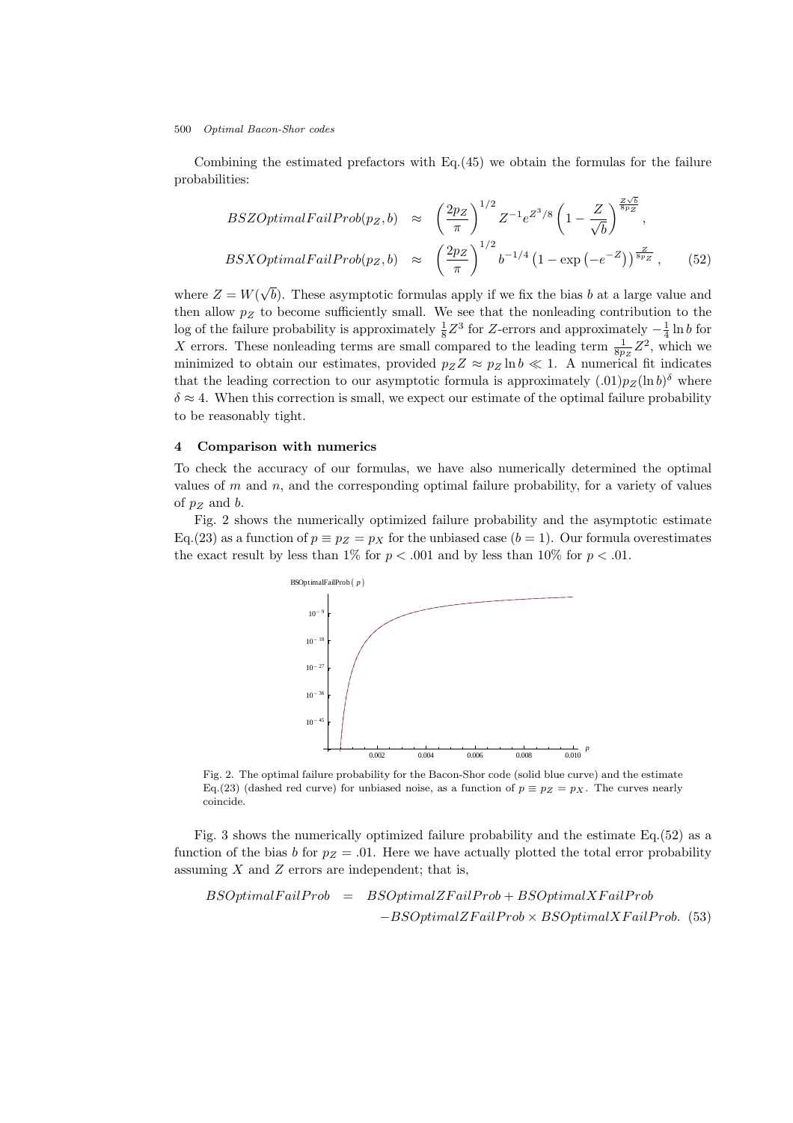Combining the estimated prefactors with  $Eq.(45)$  we obtain the formulas for the failure probabilities:

$$
BSZOptimal Fairrob(p_Z, b) \approx \left(\frac{2pz}{\pi}\right)^{1/2} Z^{-1} e^{Z^3/8} \left(1 - \frac{Z}{\sqrt{b}}\right)^{\frac{Z\sqrt{b}}{8p_Z}},
$$
  

$$
BSXOptimal Fairrob(p_Z, b) \approx \left(\frac{2pz}{\pi}\right)^{1/2} b^{-1/4} \left(1 - \exp\left(-e^{-Z}\right)\right)^{\frac{Z}{8p_Z}}, \quad (52)
$$

where  $Z = W(\sqrt{b})$ . These asymptotic formulas apply if we fix the bias b at a large value and then allow  $p_Z$  to become sufficiently small. We see that the nonleading contribution to the log of the failure probability is approximately  $\frac{1}{8}Z^3$  for Z-errors and approximately  $-\frac{1}{4} \ln b$  for X errors. These nonleading terms are small compared to the leading term  $\frac{1}{8p_Z}Z^2$ , which we minimized to obtain our estimates, provided  $p_Z Z \approx p_Z \ln b \ll 1$ . A numerical fit indicates that the leading correction to our asymptotic formula is approximately  $(.01)p_Z(\ln b)^\delta$  where  $\delta \approx 4$ . When this correction is small, we expect our estimate of the optimal failure probability to be reasonably tight.

## 4 Comparison with numerics

To check the accuracy of our formulas, we have also numerically determined the optimal values of  $m$  and  $n$ , and the corresponding optimal failure probability, for a variety of values of  $p_Z$  and b.

Fig. 2 shows the numerically optimized failure probability and the asymptotic estimate Eq.(23) as a function of  $p \equiv p_Z = p_X$  for the unbiased case  $(b = 1)$ . Our formula overestimates the exact result by less than 1% for  $p < .001$  and by less than 10% for  $p < .01$ .



Fig. 2. The optimal failure probability for the Bacon-Shor code (solid blue curve) and the estimate Eq.(23) (dashed red curve) for unbiased noise, as a function of  $p \equiv p_Z = p_X$ . The curves nearly coincide.

Fig. 3 shows the numerically optimized failure probability and the estimate Eq.(52) as a function of the bias b for  $p_Z = .01$ . Here we have actually plotted the total error probability assuming  $X$  and  $Z$  errors are independent; that is,

 $BSOptimal Fairrob = BSOptimalZFailProb + BSOptimalXFailProb$  $-BSOptimalZFailProb \times BSOptimalXFailProb.$  (53)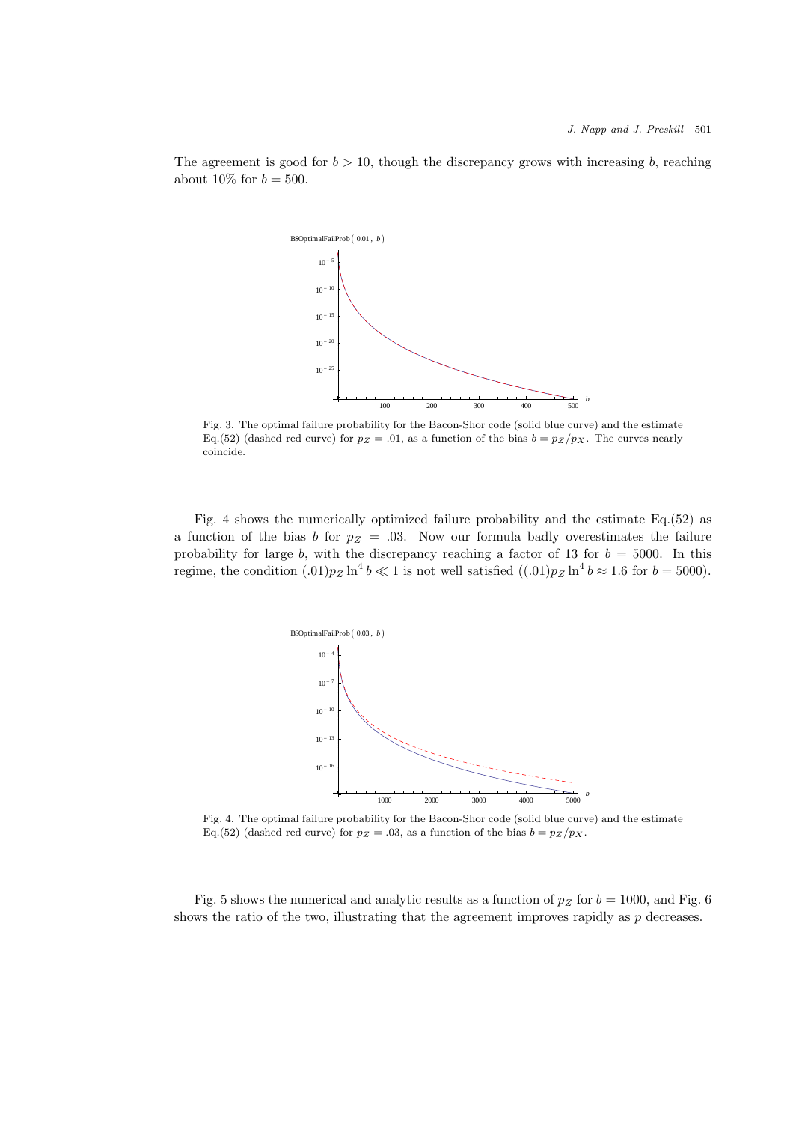The agreement is good for  $b > 10$ , though the discrepancy grows with increasing b, reaching about 10\% for  $b = 500$ .



Fig. 3. The optimal failure probability for the Bacon-Shor code (solid blue curve) and the estimate Eq.(52) (dashed red curve) for  $p_Z = .01$ , as a function of the bias  $b = p_Z / p_X$ . The curves nearly coincide.

Fig. 4 shows the numerically optimized failure probability and the estimate Eq.(52) as a function of the bias b for  $p_Z = .03$ . Now our formula badly overestimates the failure probability for large b, with the discrepancy reaching a factor of 13 for  $b = 5000$ . In this regime, the condition  $(0.01)p_Z \ln^4 b \ll 1$  is not well satisfied  $((0.01)p_Z \ln^4 b \approx 1.6$  for  $b = 5000$ .



Fig. 4. The optimal failure probability for the Bacon-Shor code (solid blue curve) and the estimate Eq.(52) (dashed red curve) for  $p_Z = .03$ , as a function of the bias  $b = p_Z / p_X$ .

Fig. 5 shows the numerical and analytic results as a function of  $p_Z$  for  $b = 1000$ , and Fig. 6 shows the ratio of the two, illustrating that the agreement improves rapidly as  $p$  decreases.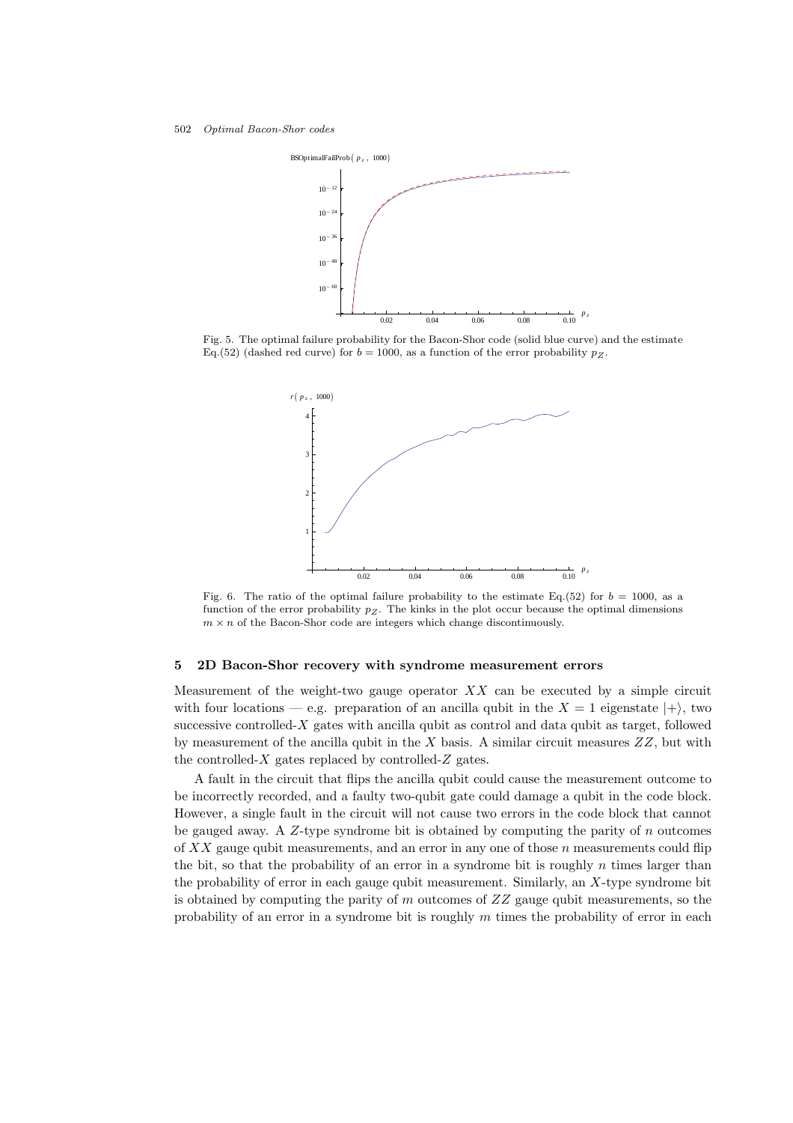

Fig. 5. The optimal failure probability for the Bacon-Shor code (solid blue curve) and the estimate Eq.(52) (dashed red curve) for  $b = 1000$ , as a function of the error probability  $p_Z$ .



Fig. 6. The ratio of the optimal failure probability to the estimate Eq.(52) for  $b = 1000$ , as a function of the error probability  $p<sub>Z</sub>$ . The kinks in the plot occur because the optimal dimensions  $m \times n$  of the Bacon-Shor code are integers which change discontinuously.

## 5 2D Bacon-Shor recovery with syndrome measurement errors

Measurement of the weight-two gauge operator  $XX$  can be executed by a simple circuit with four locations — e.g. preparation of an ancilla qubit in the  $X = 1$  eigenstate  $|+\rangle$ , two successive controlled-X gates with ancilla qubit as control and data qubit as target, followed by measurement of the ancilla qubit in the  $X$  basis. A similar circuit measures  $ZZ$ , but with the controlled- $X$  gates replaced by controlled- $Z$  gates.

A fault in the circuit that flips the ancilla qubit could cause the measurement outcome to be incorrectly recorded, and a faulty two-qubit gate could damage a qubit in the code block. However, a single fault in the circuit will not cause two errors in the code block that cannot be gauged away. A  $Z$ -type syndrome bit is obtained by computing the parity of n outcomes of  $XX$  gauge qubit measurements, and an error in any one of those n measurements could flip the bit, so that the probability of an error in a syndrome bit is roughly  $n$  times larger than the probability of error in each gauge qubit measurement. Similarly, an  $X$ -type syndrome bit is obtained by computing the parity of  $m$  outcomes of  $ZZ$  gauge qubit measurements, so the probability of an error in a syndrome bit is roughly  $m$  times the probability of error in each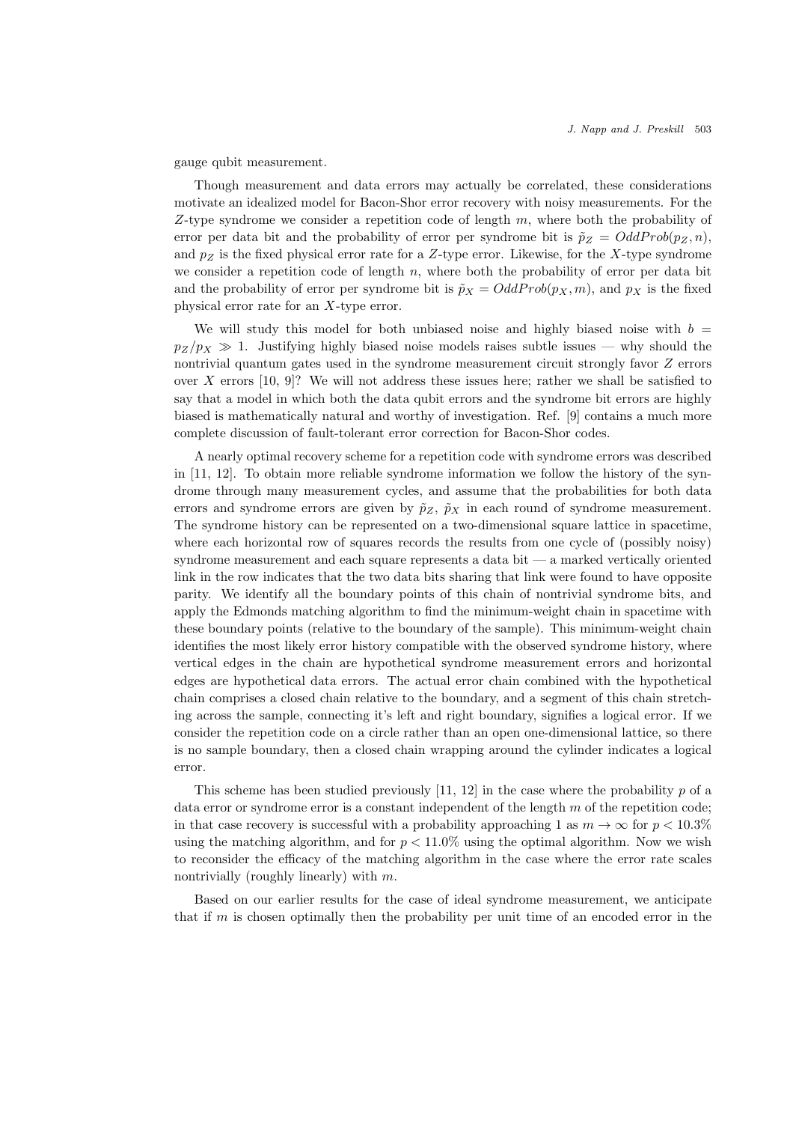gauge qubit measurement.

Though measurement and data errors may actually be correlated, these considerations motivate an idealized model for Bacon-Shor error recovery with noisy measurements. For the Z-type syndrome we consider a repetition code of length  $m$ , where both the probability of error per data bit and the probability of error per syndrome bit is  $\tilde{p}_Z = OddProb(p_Z, n)$ , and  $p_Z$  is the fixed physical error rate for a Z-type error. Likewise, for the X-type syndrome we consider a repetition code of length  $n$ , where both the probability of error per data bit and the probability of error per syndrome bit is  $\tilde{p}_X = OddProb(p_X, m)$ , and  $p_X$  is the fixed physical error rate for an X-type error.

We will study this model for both unbiased noise and highly biased noise with  $b =$  $p_Z/p_X \gg 1$ . Justifying highly biased noise models raises subtle issues — why should the nontrivial quantum gates used in the syndrome measurement circuit strongly favor Z errors over X errors  $[10, 9]$ ? We will not address these issues here; rather we shall be satisfied to say that a model in which both the data qubit errors and the syndrome bit errors are highly biased is mathematically natural and worthy of investigation. Ref. [9] contains a much more complete discussion of fault-tolerant error correction for Bacon-Shor codes.

A nearly optimal recovery scheme for a repetition code with syndrome errors was described in [11, 12]. To obtain more reliable syndrome information we follow the history of the syndrome through many measurement cycles, and assume that the probabilities for both data errors and syndrome errors are given by  $\tilde{p}_Z$ ,  $\tilde{p}_X$  in each round of syndrome measurement. The syndrome history can be represented on a two-dimensional square lattice in spacetime, where each horizontal row of squares records the results from one cycle of (possibly noisy) syndrome measurement and each square represents a data bit — a marked vertically oriented link in the row indicates that the two data bits sharing that link were found to have opposite parity. We identify all the boundary points of this chain of nontrivial syndrome bits, and apply the Edmonds matching algorithm to find the minimum-weight chain in spacetime with these boundary points (relative to the boundary of the sample). This minimum-weight chain identifies the most likely error history compatible with the observed syndrome history, where vertical edges in the chain are hypothetical syndrome measurement errors and horizontal edges are hypothetical data errors. The actual error chain combined with the hypothetical chain comprises a closed chain relative to the boundary, and a segment of this chain stretching across the sample, connecting it's left and right boundary, signifies a logical error. If we consider the repetition code on a circle rather than an open one-dimensional lattice, so there is no sample boundary, then a closed chain wrapping around the cylinder indicates a logical error.

This scheme has been studied previously  $[11, 12]$  in the case where the probability p of a data error or syndrome error is a constant independent of the length  $m$  of the repetition code; in that case recovery is successful with a probability approaching 1 as  $m \to \infty$  for  $p < 10.3\%$ using the matching algorithm, and for  $p < 11.0\%$  using the optimal algorithm. Now we wish to reconsider the efficacy of the matching algorithm in the case where the error rate scales nontrivially (roughly linearly) with  $m$ .

Based on our earlier results for the case of ideal syndrome measurement, we anticipate that if  $m$  is chosen optimally then the probability per unit time of an encoded error in the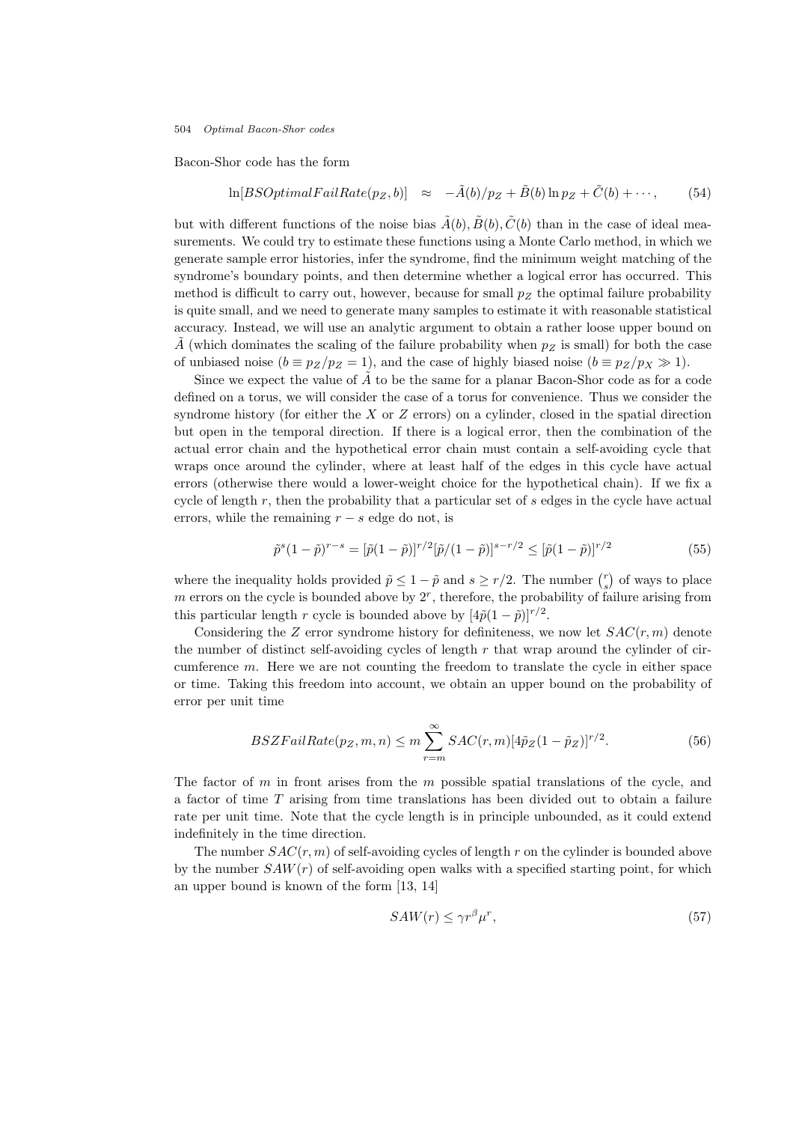Bacon-Shor code has the form

$$
\ln[BSOptimalFailRate(p_Z, b)] \approx -\tilde{A}(b)/p_Z + \tilde{B}(b)\ln p_Z + \tilde{C}(b) + \cdots, \qquad (54)
$$

but with different functions of the noise bias  $\tilde{A}(b), \tilde{B}(b), \tilde{C}(b)$  than in the case of ideal measurements. We could try to estimate these functions using a Monte Carlo method, in which we generate sample error histories, infer the syndrome, find the minimum weight matching of the syndrome's boundary points, and then determine whether a logical error has occurred. This method is difficult to carry out, however, because for small  $p_Z$  the optimal failure probability is quite small, and we need to generate many samples to estimate it with reasonable statistical accuracy. Instead, we will use an analytic argument to obtain a rather loose upper bound on  $\tilde{A}$  (which dominates the scaling of the failure probability when  $p_Z$  is small) for both the case of unbiased noise  $(b \equiv p_Z/p_Z = 1)$ , and the case of highly biased noise  $(b \equiv p_Z/p_X \gg 1)$ .

Since we expect the value of  $\tilde{A}$  to be the same for a planar Bacon-Shor code as for a code defined on a torus, we will consider the case of a torus for convenience. Thus we consider the syndrome history (for either the  $X$  or  $Z$  errors) on a cylinder, closed in the spatial direction but open in the temporal direction. If there is a logical error, then the combination of the actual error chain and the hypothetical error chain must contain a self-avoiding cycle that wraps once around the cylinder, where at least half of the edges in this cycle have actual errors (otherwise there would a lower-weight choice for the hypothetical chain). If we fix a cycle of length  $r$ , then the probability that a particular set of  $s$  edges in the cycle have actual errors, while the remaining  $r - s$  edge do not, is

$$
\tilde{p}^s (1 - \tilde{p})^{r-s} = [\tilde{p}(1 - \tilde{p})]^{r/2} [\tilde{p}/(1 - \tilde{p})]^{s-r/2} \leq [\tilde{p}(1 - \tilde{p})]^{r/2}
$$
\n(55)

where the inequality holds provided  $\tilde{p} \leq 1 - \tilde{p}$  and  $s \geq r/2$ . The number  $\binom{r}{s}$  of ways to place  $m$  errors on the cycle is bounded above by  $2<sup>r</sup>$ , therefore, the probability of failure arising from this particular length r cycle is bounded above by  $[4\tilde{p}(1-\tilde{p})]^{r/2}$ .

Considering the Z error syndrome history for definiteness, we now let  $SAC(r, m)$  denote the number of distinct self-avoiding cycles of length  $r$  that wrap around the cylinder of circumference  $m$ . Here we are not counting the freedom to translate the cycle in either space or time. Taking this freedom into account, we obtain an upper bound on the probability of error per unit time

$$
BSZFailRate(p_Z, m, n) \le m \sum_{r=m}^{\infty} SAC(r, m)[4\tilde{p}_Z(1-\tilde{p}_Z)]^{r/2}.
$$
 (56)

The factor of m in front arises from the m possible spatial translations of the cycle, and a factor of time T arising from time translations has been divided out to obtain a failure rate per unit time. Note that the cycle length is in principle unbounded, as it could extend indefinitely in the time direction.

The number  $SAC(r, m)$  of self-avoiding cycles of length r on the cylinder is bounded above by the number  $SAW(r)$  of self-avoiding open walks with a specified starting point, for which an upper bound is known of the form [13, 14]

$$
SAW(r) \le \gamma r^{\beta} \mu^r,\tag{57}
$$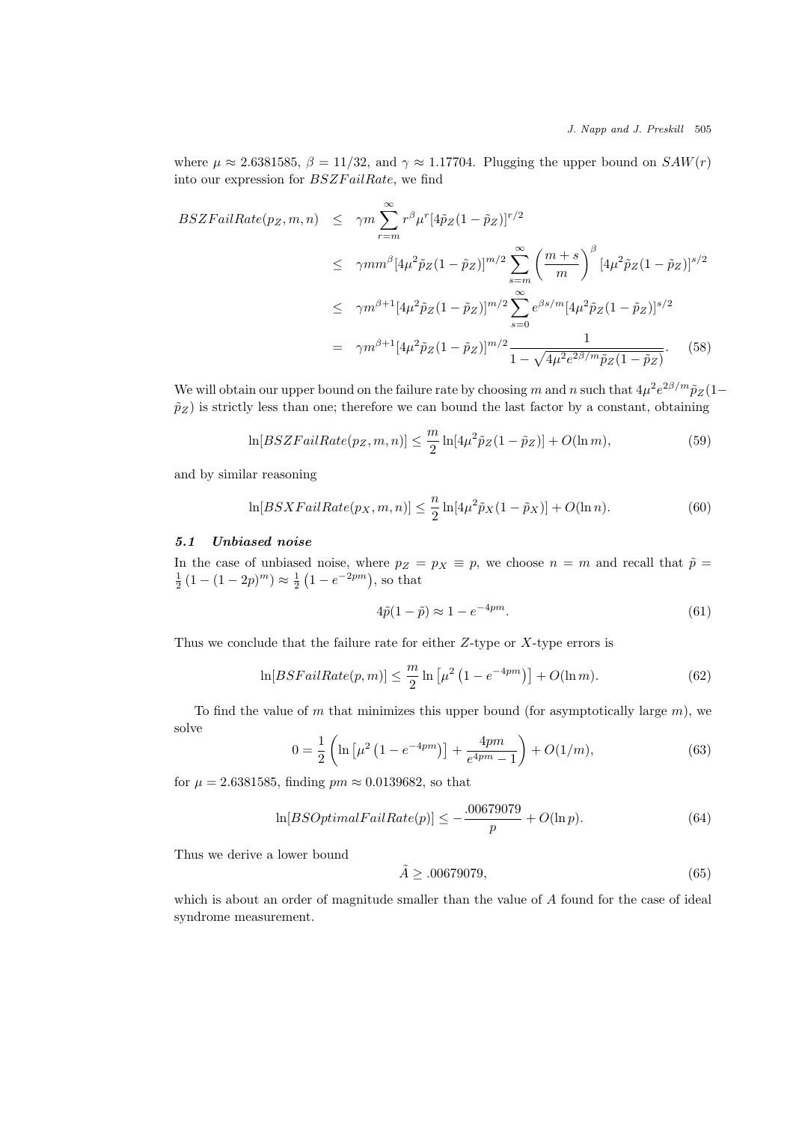where  $\mu \approx 2.6381585$ ,  $\beta = 11/32$ , and  $\gamma \approx 1.17704$ . Plugging the upper bound on  $SAW(r)$ into our expression for  $BSZFailRate$ , we find

$$
BSZFailRate(p_Z, m, n) \leq \gamma m \sum_{r=m}^{\infty} r^{\beta} \mu^{r} [4\tilde{p}_Z (1 - \tilde{p}_Z)]^{r/2}
$$
  
\n
$$
\leq \gamma mm^{\beta} [4\mu^2 \tilde{p}_Z (1 - \tilde{p}_Z)]^{m/2} \sum_{s=m}^{\infty} \left(\frac{m+s}{m}\right)^{\beta} [4\mu^2 \tilde{p}_Z (1 - \tilde{p}_Z)]^{s/2}
$$
  
\n
$$
\leq \gamma m^{\beta+1} [4\mu^2 \tilde{p}_Z (1 - \tilde{p}_Z)]^{m/2} \sum_{s=0}^{\infty} e^{\beta s/m} [4\mu^2 \tilde{p}_Z (1 - \tilde{p}_Z)]^{s/2}
$$
  
\n
$$
= \gamma m^{\beta+1} [4\mu^2 \tilde{p}_Z (1 - \tilde{p}_Z)]^{m/2} \frac{1}{1 - \sqrt{4\mu^2 e^{2\beta/m} \tilde{p}_Z (1 - \tilde{p}_Z)}}.
$$
(58)

We will obtain our upper bound on the failure rate by choosing m and n such that  $4\mu^2 e^{2\beta/m} \tilde{p}_Z(1-\alpha)$  $\tilde{p}_Z$ ) is strictly less than one; therefore we can bound the last factor by a constant, obtaining

$$
\ln[BSZFailRate(p_Z, m, n)] \leq \frac{m}{2}\ln[4\mu^2\tilde{p}_Z(1-\tilde{p}_Z)] + O(\ln m),\tag{59}
$$

and by similar reasoning

$$
\ln[BSXFailRate(p_X,m,n)] \leq \frac{n}{2}\ln[4\mu^2\tilde{p}_X(1-\tilde{p}_X)] + O(\ln n). \tag{60}
$$

## 5.1 Unbiased noise

In the case of unbiased noise, where  $p_Z = p_X \equiv p$ , we choose  $n = m$  and recall that  $\tilde{p} =$  $\frac{1}{2}(1-(1-2p)^m) \approx \frac{1}{2}(1-e^{-2pm}),$  so that

$$
4\tilde{p}(1-\tilde{p}) \approx 1 - e^{-4pm}.\tag{61}
$$

Thus we conclude that the failure rate for either  $Z$ -type or  $X$ -type errors is

$$
\ln[BSFailRate(p, m)] \le \frac{m}{2} \ln \left[\mu^2 \left(1 - e^{-4pm}\right)\right] + O(\ln m). \tag{62}
$$

To find the value of m that minimizes this upper bound (for asymptotically large  $m$ ), we solve

$$
0 = \frac{1}{2} \left( \ln \left[ \mu^2 \left( 1 - e^{-4pm} \right) \right] + \frac{4pm}{e^{4pm} - 1} \right) + O(1/m), \tag{63}
$$

for  $\mu = 2.6381585$ , finding  $pm \approx 0.0139682$ , so that

$$
\ln[BSOptimalFailRate(p)] \le -\frac{.00679079}{p} + O(\ln p). \tag{64}
$$

Thus we derive a lower bound

$$
\tilde{A} \geq .00679079,\tag{65}
$$

which is about an order of magnitude smaller than the value of A found for the case of ideal syndrome measurement.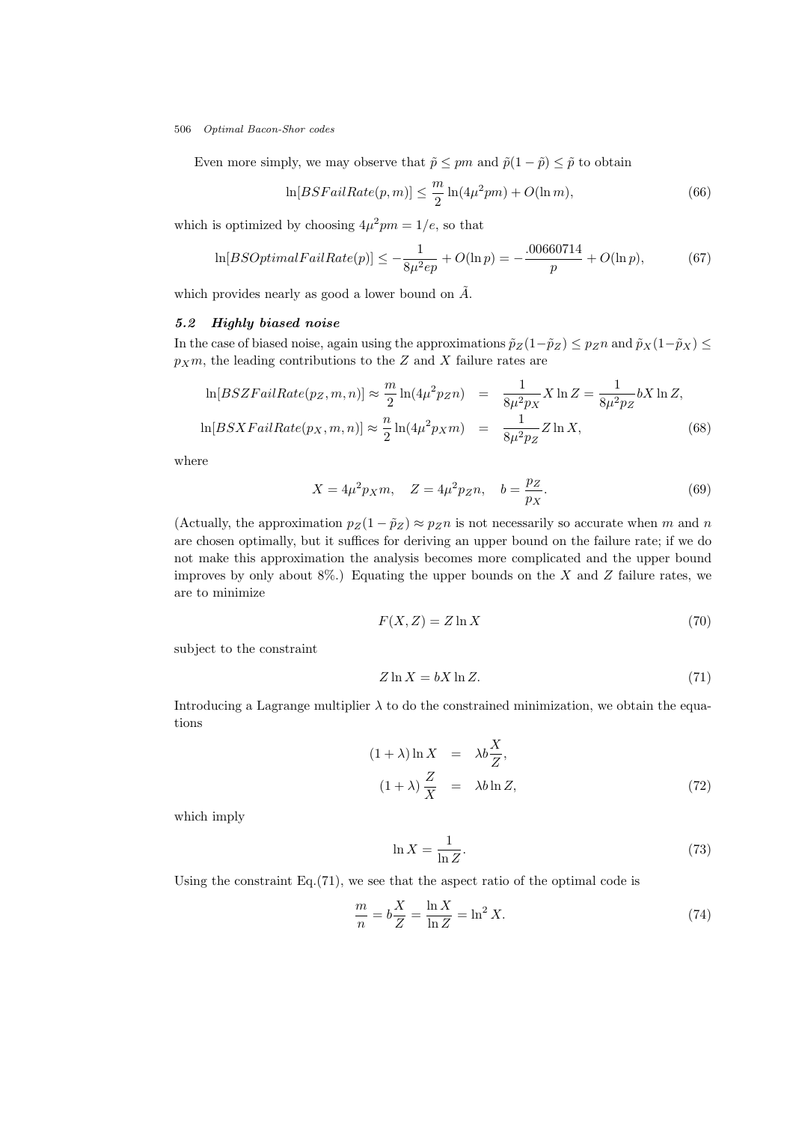Even more simply, we may observe that  $\tilde{p} \leq pm$  and  $\tilde{p}(1 - \tilde{p}) \leq \tilde{p}$  to obtain

$$
\ln[BSFailRate(p,m)] \leq \frac{m}{2}\ln(4\mu^2pm) + O(\ln m),\tag{66}
$$

which is optimized by choosing  $4\mu^2$ *pm* = 1/*e*, so that

$$
\ln[BSOptimalFailRate(p)] \le -\frac{1}{8\mu^2 ep} + O(\ln p) = -\frac{.00660714}{p} + O(\ln p),\tag{67}
$$

which provides nearly as good a lower bound on  $\tilde{A}$ .

# 5.2 Highly biased noise

In the case of biased noise, again using the approximations  $\tilde{p}_Z(1-\tilde{p}_Z) \leq p_Z n$  and  $\tilde{p}_X(1-\tilde{p}_X) \leq$  $p_Xm$ , the leading contributions to the Z and X failure rates are

$$
\ln[BSZFailRate(p_Z, m, n)] \approx \frac{m}{2}\ln(4\mu^2 p_Z n) = \frac{1}{8\mu^2 p_X} X \ln Z = \frac{1}{8\mu^2 p_Z} bX \ln Z,
$$
  

$$
\ln[BSXFailRate(p_X, m, n)] \approx \frac{n}{2}\ln(4\mu^2 p_X m) = \frac{1}{8\mu^2 p_Z} Z \ln X,
$$
 (68)

where

$$
X = 4\mu^2 p_X m, \quad Z = 4\mu^2 p_Z n, \quad b = \frac{p_Z}{p_X}.
$$
 (69)

(Actually, the approximation  $p_Z(1 - \tilde{p}_Z) \approx p_Z n$  is not necessarily so accurate when m and n are chosen optimally, but it suffices for deriving an upper bound on the failure rate; if we do not make this approximation the analysis becomes more complicated and the upper bound improves by only about  $8\%$ .) Equating the upper bounds on the X and Z failure rates, we are to minimize

$$
F(X, Z) = Z \ln X \tag{70}
$$

subject to the constraint

$$
Z \ln X = bX \ln Z. \tag{71}
$$

Introducing a Lagrange multiplier  $\lambda$  to do the constrained minimization, we obtain the equations

$$
(1 + \lambda) \ln X = \lambda b \frac{X}{Z},
$$
  
\n
$$
(1 + \lambda) \frac{Z}{X} = \lambda b \ln Z,
$$
\n(72)

which imply

$$
\ln X = \frac{1}{\ln Z}.\tag{73}
$$

Using the constraint Eq.(71), we see that the aspect ratio of the optimal code is

$$
\frac{m}{n} = b\frac{X}{Z} = \frac{\ln X}{\ln Z} = \ln^2 X.
$$
\n(74)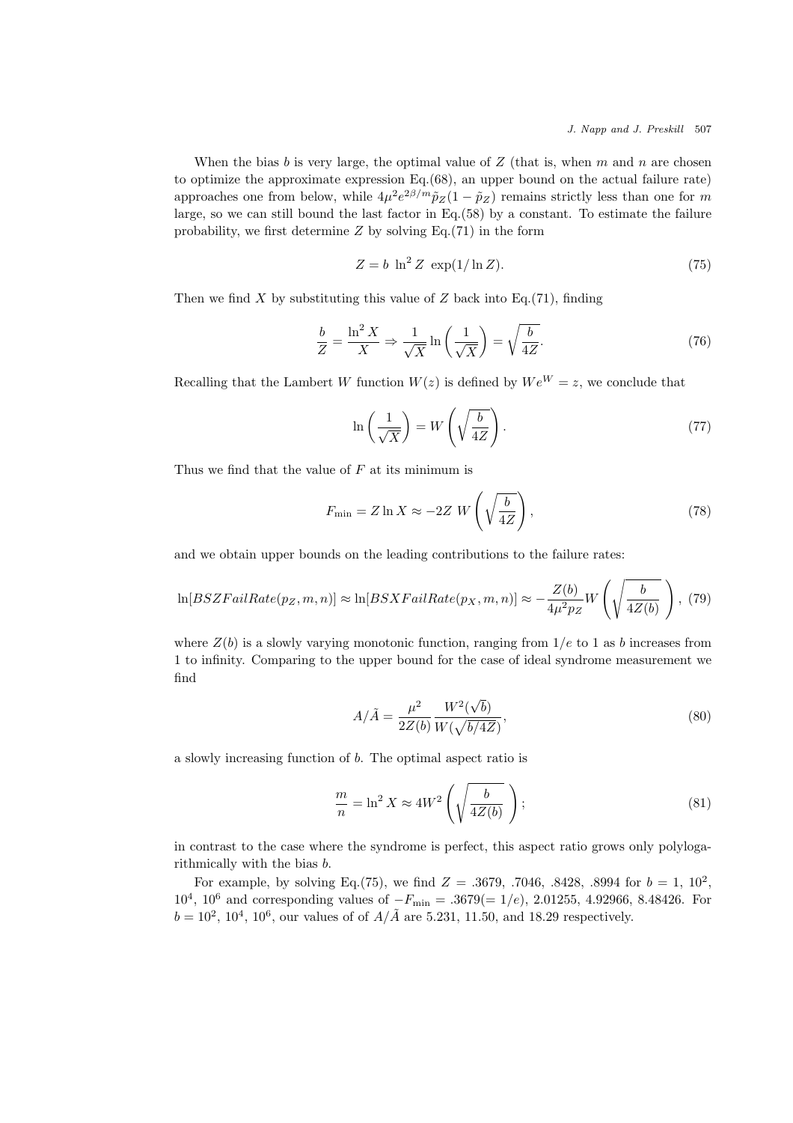When the bias b is very large, the optimal value of  $Z$  (that is, when m and n are chosen to optimize the approximate expression Eq.(68), an upper bound on the actual failure rate) approaches one from below, while  $4\mu^2 e^{2\beta/m} \tilde{p}_Z(1-\tilde{p}_Z)$  remains strictly less than one for m large, so we can still bound the last factor in Eq.(58) by a constant. To estimate the failure probability, we first determine  $Z$  by solving Eq.(71) in the form

$$
Z = b \ln^2 Z \, \exp(1/\ln Z). \tag{75}
$$

Then we find  $X$  by substituting this value of  $Z$  back into Eq.(71), finding

$$
\frac{b}{Z} = \frac{\ln^2 X}{X} \Rightarrow \frac{1}{\sqrt{X}} \ln\left(\frac{1}{\sqrt{X}}\right) = \sqrt{\frac{b}{4Z}}.\tag{76}
$$

Recalling that the Lambert W function  $W(z)$  is defined by  $We^{W} = z$ , we conclude that

$$
\ln\left(\frac{1}{\sqrt{X}}\right) = W\left(\sqrt{\frac{b}{4Z}}\right). \tag{77}
$$

Thus we find that the value of  $F$  at its minimum is

$$
F_{\min} = Z \ln X \approx -2Z \ W \left( \sqrt{\frac{b}{4Z}} \right),\tag{78}
$$

and we obtain upper bounds on the leading contributions to the failure rates:

$$
\ln[BSZFailRate(p_Z, m, n)] \approx \ln[BSXFailRate(p_X, m, n)] \approx -\frac{Z(b)}{4\mu^2 p_Z} W\left(\sqrt{\frac{b}{4Z(b)}}\right), (79)
$$

where  $Z(b)$  is a slowly varying monotonic function, ranging from  $1/e$  to 1 as b increases from 1 to infinity. Comparing to the upper bound for the case of ideal syndrome measurement we find

$$
A/\tilde{A} = \frac{\mu^2}{2Z(b)} \frac{W^2(\sqrt{b})}{W(\sqrt{b/4Z})},
$$
\n(80)

a slowly increasing function of b. The optimal aspect ratio is

$$
\frac{m}{n} = \ln^2 X \approx 4W^2 \left( \sqrt{\frac{b}{4Z(b)}} \right); \tag{81}
$$

in contrast to the case where the syndrome is perfect, this aspect ratio grows only polylogarithmically with the bias b.

For example, by solving Eq.(75), we find  $Z = .3679, .7046, .8428, .8994$  for  $b = 1, 10^2,$  $10^4$ ,  $10^6$  and corresponding values of  $-F_{\text{min}} = .3679 (= 1/e)$ , 2.01255, 4.92966, 8.48426. For  $b = 10^2, 10^4, 10^6$ , our values of of  $A/\tilde{A}$  are 5.231, 11.50, and 18.29 respectively.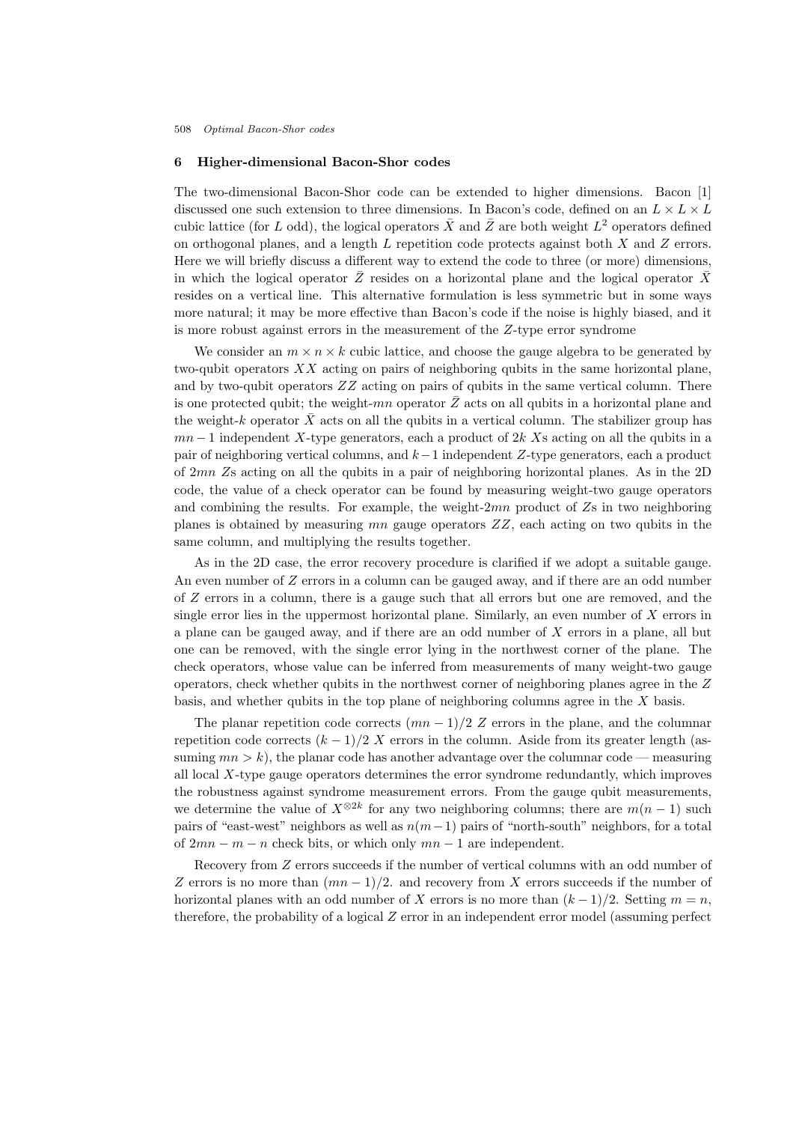## 6 Higher-dimensional Bacon-Shor codes

The two-dimensional Bacon-Shor code can be extended to higher dimensions. Bacon [1] discussed one such extension to three dimensions. In Bacon's code, defined on an  $L \times L \times L$ cubic lattice (for L odd), the logical operators  $\overline{X}$  and  $\overline{Z}$  are both weight  $L^2$  operators defined on orthogonal planes, and a length L repetition code protects against both X and Z errors. Here we will briefly discuss a different way to extend the code to three (or more) dimensions, in which the logical operator  $\bar{Z}$  resides on a horizontal plane and the logical operator  $\bar{X}$ resides on a vertical line. This alternative formulation is less symmetric but in some ways more natural; it may be more effective than Bacon's code if the noise is highly biased, and it is more robust against errors in the measurement of the Z-type error syndrome

We consider an  $m \times n \times k$  cubic lattice, and choose the gauge algebra to be generated by two-qubit operators XX acting on pairs of neighboring qubits in the same horizontal plane, and by two-qubit operators  $ZZ$  acting on pairs of qubits in the same vertical column. There is one protected qubit; the weight-mn operator  $\bar{Z}$  acts on all qubits in a horizontal plane and the weight-k operator  $\bar{X}$  acts on all the qubits in a vertical column. The stabilizer group has  $mn-1$  independent X-type generators, each a product of 2k Xs acting on all the qubits in a pair of neighboring vertical columns, and k−1 independent Z-type generators, each a product of 2mn Zs acting on all the qubits in a pair of neighboring horizontal planes. As in the 2D code, the value of a check operator can be found by measuring weight-two gauge operators and combining the results. For example, the weight- $2mn$  product of  $Z_s$  in two neighboring planes is obtained by measuring  $mn$  gauge operators  $ZZ$ , each acting on two qubits in the same column, and multiplying the results together.

As in the 2D case, the error recovery procedure is clarified if we adopt a suitable gauge. An even number of Z errors in a column can be gauged away, and if there are an odd number of Z errors in a column, there is a gauge such that all errors but one are removed, and the single error lies in the uppermost horizontal plane. Similarly, an even number of  $X$  errors in a plane can be gauged away, and if there are an odd number of X errors in a plane, all but one can be removed, with the single error lying in the northwest corner of the plane. The check operators, whose value can be inferred from measurements of many weight-two gauge operators, check whether qubits in the northwest corner of neighboring planes agree in the Z basis, and whether qubits in the top plane of neighboring columns agree in the  $X$  basis.

The planar repetition code corrects  $(mn-1)/2$  Z errors in the plane, and the columnar repetition code corrects  $(k - 1)/2 X$  errors in the column. Aside from its greater length (assuming  $mn > k$ , the planar code has another advantage over the columnar code — measuring all local  $X$ -type gauge operators determines the error syndrome redundantly, which improves the robustness against syndrome measurement errors. From the gauge qubit measurements, we determine the value of  $X^{\otimes 2k}$  for any two neighboring columns; there are  $m(n-1)$  such pairs of "east-west" neighbors as well as  $n(m-1)$  pairs of "north-south" neighbors, for a total of  $2mn - m - n$  check bits, or which only  $mn - 1$  are independent.

Recovery from Z errors succeeds if the number of vertical columns with an odd number of Z errors is no more than  $(mn-1)/2$ . and recovery from X errors succeeds if the number of horizontal planes with an odd number of X errors is no more than  $(k-1)/2$ . Setting  $m = n$ , therefore, the probability of a logical  $Z$  error in an independent error model (assuming perfect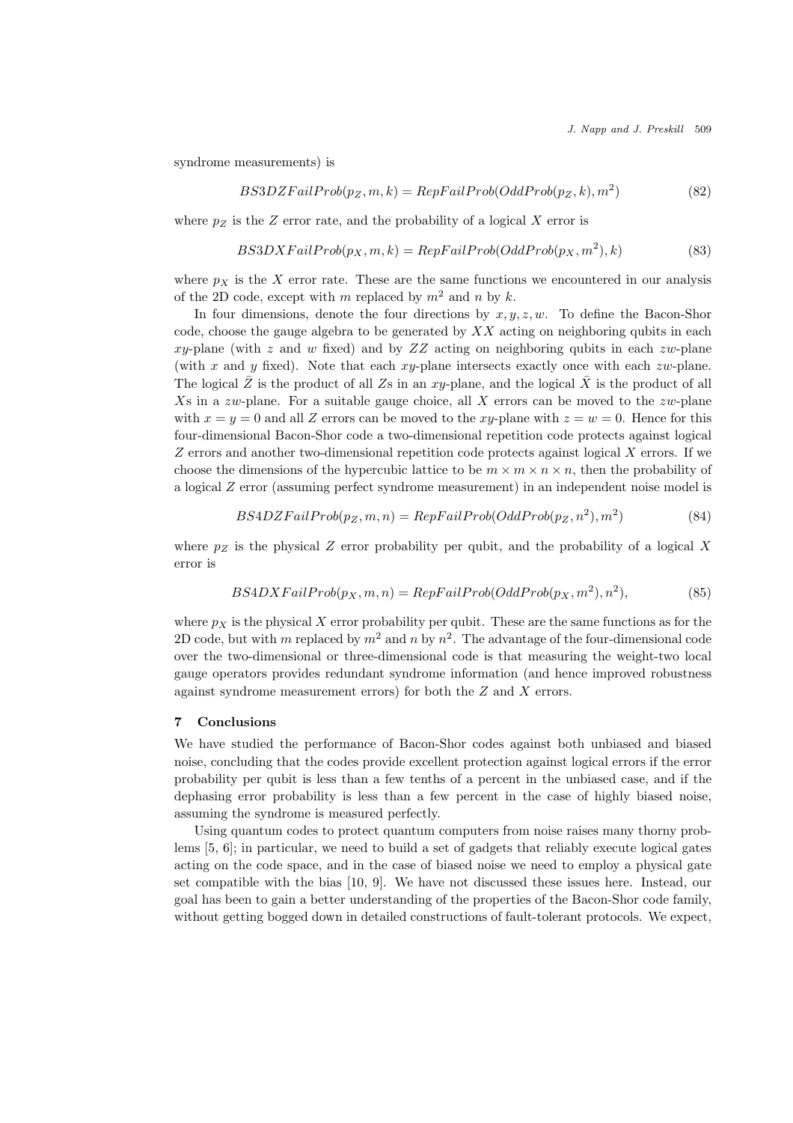J. Napp and J. Preskill 509

syndrome measurements) is

$$
BS3DZFailProb(p_Z, m, k) = RepFailProb(OddProb(p_Z, k), m^2)
$$
\n(82)

where  $p_Z$  is the Z error rate, and the probability of a logical X error is

$$
BS3DXFailProb(p_X, m, k) = RepFailProb(OddProb(p_X, m^2), k)
$$
\n(83)

where  $p<sub>X</sub>$  is the X error rate. These are the same functions we encountered in our analysis of the 2D code, except with m replaced by  $m^2$  and n by k.

In four dimensions, denote the four directions by  $x, y, z, w$ . To define the Bacon-Shor code, choose the gauge algebra to be generated by  $XX$  acting on neighboring qubits in each  $xy$ -plane (with z and w fixed) and by  $ZZ$  acting on neighboring qubits in each zw-plane (with x and y fixed). Note that each  $xy$ -plane intersects exactly once with each zw-plane. The logical  $\bar{Z}$  is the product of all Zs in an xy-plane, and the logical  $\bar{X}$  is the product of all Xs in a zw-plane. For a suitable gauge choice, all X errors can be moved to the zw-plane with  $x = y = 0$  and all Z errors can be moved to the xy-plane with  $z = w = 0$ . Hence for this four-dimensional Bacon-Shor code a two-dimensional repetition code protects against logical  $Z$  errors and another two-dimensional repetition code protects against logical  $X$  errors. If we choose the dimensions of the hypercubic lattice to be  $m \times m \times n$ , then the probability of a logical Z error (assuming perfect syndrome measurement) in an independent noise model is

$$
BS4DZFailProb(p_Z, m, n) = RepFailProb(OddProb(p_Z, n^2), m^2)
$$
\n(84)

where  $p_Z$  is the physical Z error probability per qubit, and the probability of a logical X error is

$$
BS4DXFailProb(p_X, m, n) = RepFailProb(OddProb(p_X, m^2), n^2),
$$
\n(85)

where  $p<sub>X</sub>$  is the physical X error probability per qubit. These are the same functions as for the 2D code, but with m replaced by  $m^2$  and n by  $n^2$ . The advantage of the four-dimensional code over the two-dimensional or three-dimensional code is that measuring the weight-two local gauge operators provides redundant syndrome information (and hence improved robustness against syndrome measurement errors) for both the  $Z$  and  $X$  errors.

#### 7 Conclusions

We have studied the performance of Bacon-Shor codes against both unbiased and biased noise, concluding that the codes provide excellent protection against logical errors if the error probability per qubit is less than a few tenths of a percent in the unbiased case, and if the dephasing error probability is less than a few percent in the case of highly biased noise, assuming the syndrome is measured perfectly.

Using quantum codes to protect quantum computers from noise raises many thorny problems [5, 6]; in particular, we need to build a set of gadgets that reliably execute logical gates acting on the code space, and in the case of biased noise we need to employ a physical gate set compatible with the bias [10, 9]. We have not discussed these issues here. Instead, our goal has been to gain a better understanding of the properties of the Bacon-Shor code family, without getting bogged down in detailed constructions of fault-tolerant protocols. We expect,